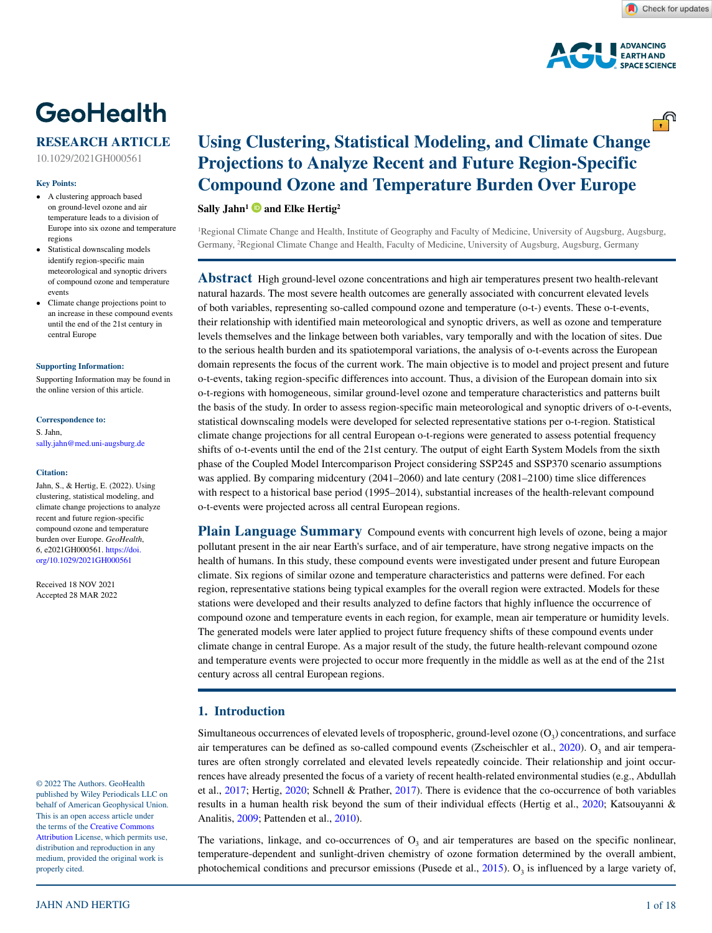<u>್.</u>ಗಿ



# **GeoHealth**

### **RESEARCH ARTICLE**

10.1029/2021GH000561

#### **Key Points:**

- A clustering approach based on ground-level ozone and air temperature leads to a division of Europe into six ozone and temperature regions
- Statistical downscaling models identify region-specific main meteorological and synoptic drivers of compound ozone and temperature events
- Climate change projections point to an increase in these compound events until the end of the 21st century in central Europe

#### **[Supporting Information:](https://doi.org/10.1029/2021GH000561)**

[Supporting Information may be found in](https://doi.org/10.1029/2021GH000561)  [the online version of this article.](https://doi.org/10.1029/2021GH000561)

#### **Correspondence to:**

S. Jahn, sally.jahn@med.uni-augsburg.de

#### **Citation:**

Jahn, S., & Hertig, E. (2022). Using clustering, statistical modeling, and climate change projections to analyze recent and future region-specific compound ozone and temperature burden over Europe. *GeoHealth*, *6*, e2021GH000561. [https://doi.](https://doi.org/10.1029/2021GH000561) [org/10.1029/2021GH000561](https://doi.org/10.1029/2021GH000561)

Received 18 NOV 2021 Accepted 28 MAR 2022

© 2022 The Authors. GeoHealth published by Wiley Periodicals LLC on behalf of American Geophysical Union. This is an open access article under the terms of the [Creative Commons](http://creativecommons.org/licenses/by/4.0/)  [Attribution](http://creativecommons.org/licenses/by/4.0/) License, which permits use, distribution and reproduction in any medium, provided the original work is properly cited.

## **Using Clustering, Statistical Modeling, and Climate Change Projections to Analyze Recent and Future Region-Specific Compound Ozone and Temperature Burden Over Europe**

**Sally Jahn[1](https://orcid.org/0000-0003-0408-9770) and Elke Hertig2**

1 Regional Climate Change and Health, Institute of Geography and Faculty of Medicine, University of Augsburg, Augsburg, Germany, 2 Regional Climate Change and Health, Faculty of Medicine, University of Augsburg, Augsburg, Germany

**Abstract** High ground-level ozone concentrations and high air temperatures present two health-relevant natural hazards. The most severe health outcomes are generally associated with concurrent elevated levels of both variables, representing so-called compound ozone and temperature (o-t-) events. These o-t-events, their relationship with identified main meteorological and synoptic drivers, as well as ozone and temperature levels themselves and the linkage between both variables, vary temporally and with the location of sites. Due to the serious health burden and its spatiotemporal variations, the analysis of o-t-events across the European domain represents the focus of the current work. The main objective is to model and project present and future o-t-events, taking region-specific differences into account. Thus, a division of the European domain into six o-t-regions with homogeneous, similar ground-level ozone and temperature characteristics and patterns built the basis of the study. In order to assess region-specific main meteorological and synoptic drivers of o-t-events, statistical downscaling models were developed for selected representative stations per o-t-region. Statistical climate change projections for all central European o-t-regions were generated to assess potential frequency shifts of o-t-events until the end of the 21st century. The output of eight Earth System Models from the sixth phase of the Coupled Model Intercomparison Project considering SSP245 and SSP370 scenario assumptions was applied. By comparing midcentury (2041–2060) and late century (2081–2100) time slice differences with respect to a historical base period (1995–2014), substantial increases of the health-relevant compound o-t-events were projected across all central European regions.

**Plain Language Summary** Compound events with concurrent high levels of ozone, being a major pollutant present in the air near Earth's surface, and of air temperature, have strong negative impacts on the health of humans. In this study, these compound events were investigated under present and future European climate. Six regions of similar ozone and temperature characteristics and patterns were defined. For each region, representative stations being typical examples for the overall region were extracted. Models for these stations were developed and their results analyzed to define factors that highly influence the occurrence of compound ozone and temperature events in each region, for example, mean air temperature or humidity levels. The generated models were later applied to project future frequency shifts of these compound events under climate change in central Europe. As a major result of the study, the future health-relevant compound ozone and temperature events were projected to occur more frequently in the middle as well as at the end of the 21st century across all central European regions.

#### **1. Introduction**

Simultaneous occurrences of elevated levels of tropospheric, ground-level ozone  $(O<sub>3</sub>)$  concentrations, and surface air temperatures can be defined as so-called compound events (Zscheischler et al.,  $2020$ ).  $O<sub>3</sub>$  and air temperatures are often strongly correlated and elevated levels repeatedly coincide. Their relationship and joint occurrences have already presented the focus of a variety of recent health-related environmental studies (e.g., Abdullah et al., [2017;](#page-15-0) Hertig, [2020;](#page-16-0) Schnell & Prather, [2017\)](#page-16-1). There is evidence that the co-occurrence of both variables results in a human health risk beyond the sum of their individual effects (Hertig et al., [2020;](#page-16-2) Katsouyanni & Analitis, [2009](#page-16-3); Pattenden et al., [2010](#page-16-4)).

The variations, linkage, and co-occurrences of  $O<sub>3</sub>$  and air temperatures are based on the specific nonlinear, temperature-dependent and sunlight-driven chemistry of ozone formation determined by the overall ambient, photochemical conditions and precursor emissions (Pusede et al., [2015](#page-16-5)).  $O_3$  is influenced by a large variety of,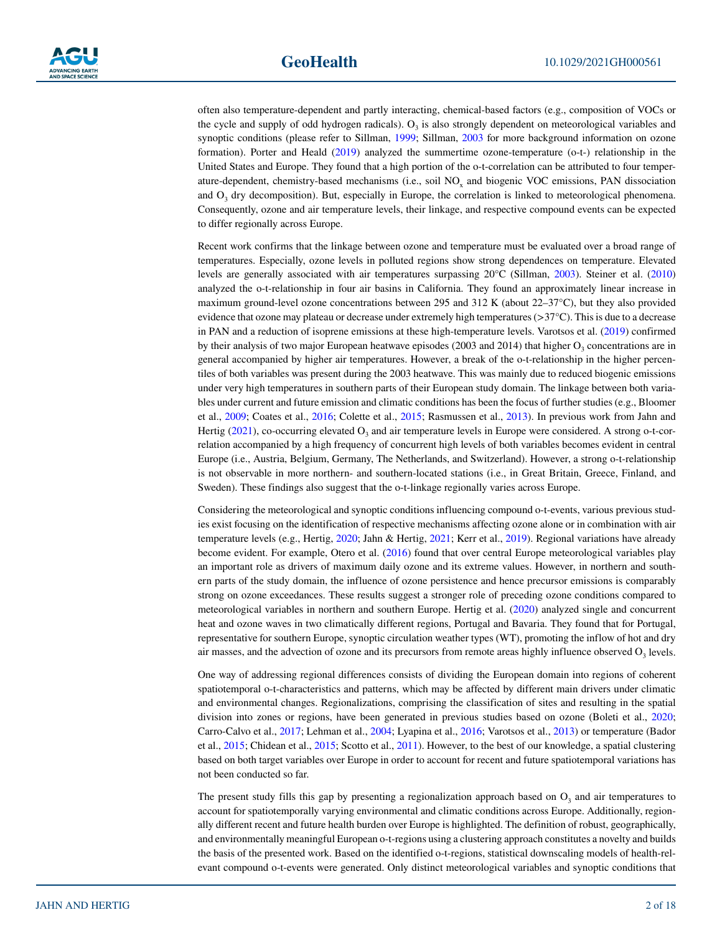often also temperature-dependent and partly interacting, chemical-based factors (e.g., composition of VOCs or the cycle and supply of odd hydrogen radicals).  $O<sub>3</sub>$  is also strongly dependent on meteorological variables and synoptic conditions (please refer to Sillman, [1999](#page-17-1); Sillman, [2003](#page-17-2) for more background information on ozone formation). Porter and Heald ([2019\)](#page-16-6) analyzed the summertime ozone-temperature (o-t-) relationship in the United States and Europe. They found that a high portion of the o-t-correlation can be attributed to four temperature-dependent, chemistry-based mechanisms (i.e., soil NO<sub>x</sub> and biogenic VOC emissions, PAN dissociation and  $O<sub>3</sub>$  dry decomposition). But, especially in Europe, the correlation is linked to meteorological phenomena. Consequently, ozone and air temperature levels, their linkage, and respective compound events can be expected to differ regionally across Europe.

Recent work confirms that the linkage between ozone and temperature must be evaluated over a broad range of temperatures. Especially, ozone levels in polluted regions show strong dependences on temperature. Elevated levels are generally associated with air temperatures surpassing 20°C (Sillman, [2003\)](#page-17-2). Steiner et al. [\(2010](#page-17-3)) analyzed the o-t-relationship in four air basins in California. They found an approximately linear increase in maximum ground-level ozone concentrations between 295 and 312 K (about 22–37°C), but they also provided evidence that ozone may plateau or decrease under extremely high temperatures ( $>37^{\circ}$ C). This is due to a decrease in PAN and a reduction of isoprene emissions at these high-temperature levels. Varotsos et al. ([2019\)](#page-17-4) confirmed by their analysis of two major European heatwave episodes (2003 and 2014) that higher  $O_3$  concentrations are in general accompanied by higher air temperatures. However, a break of the o-t-relationship in the higher percentiles of both variables was present during the 2003 heatwave. This was mainly due to reduced biogenic emissions under very high temperatures in southern parts of their European study domain. The linkage between both variables under current and future emission and climatic conditions has been the focus of further studies (e.g., Bloomer et al., [2009;](#page-15-1) Coates et al., [2016](#page-16-7); Colette et al., [2015](#page-16-8); Rasmussen et al., [2013](#page-16-9)). In previous work from Jahn and Hertig ( $2021$ ), co-occurring elevated  $O_3$  and air temperature levels in Europe were considered. A strong o-t-correlation accompanied by a high frequency of concurrent high levels of both variables becomes evident in central Europe (i.e., Austria, Belgium, Germany, The Netherlands, and Switzerland). However, a strong o-t-relationship is not observable in more northern- and southern-located stations (i.e., in Great Britain, Greece, Finland, and Sweden). These findings also suggest that the o-t-linkage regionally varies across Europe.

Considering the meteorological and synoptic conditions influencing compound o-t-events, various previous studies exist focusing on the identification of respective mechanisms affecting ozone alone or in combination with air temperature levels (e.g., Hertig, [2020;](#page-16-0) Jahn & Hertig, [2021;](#page-16-10) Kerr et al., [2019\)](#page-16-11). Regional variations have already become evident. For example, Otero et al. ([2016\)](#page-16-12) found that over central Europe meteorological variables play an important role as drivers of maximum daily ozone and its extreme values. However, in northern and southern parts of the study domain, the influence of ozone persistence and hence precursor emissions is comparably strong on ozone exceedances. These results suggest a stronger role of preceding ozone conditions compared to meteorological variables in northern and southern Europe. Hertig et al. [\(2020](#page-16-2)) analyzed single and concurrent heat and ozone waves in two climatically different regions, Portugal and Bavaria. They found that for Portugal, representative for southern Europe, synoptic circulation weather types (WT), promoting the inflow of hot and dry air masses, and the advection of ozone and its precursors from remote areas highly influence observed  $O<sub>3</sub>$  levels.

One way of addressing regional differences consists of dividing the European domain into regions of coherent spatiotemporal o-t-characteristics and patterns, which may be affected by different main drivers under climatic and environmental changes. Regionalizations, comprising the classification of sites and resulting in the spatial division into zones or regions, have been generated in previous studies based on ozone (Boleti et al., [2020;](#page-15-2) Carro-Calvo et al., [2017](#page-15-3); Lehman et al., [2004;](#page-16-13) Lyapina et al., [2016;](#page-16-14) Varotsos et al., [2013](#page-17-5)) or temperature (Bador et al., [2015;](#page-15-4) Chidean et al., [2015](#page-16-15); Scotto et al., [2011\)](#page-16-16). However, to the best of our knowledge, a spatial clustering based on both target variables over Europe in order to account for recent and future spatiotemporal variations has not been conducted so far.

The present study fills this gap by presenting a regionalization approach based on  $O_3$  and air temperatures to account for spatiotemporally varying environmental and climatic conditions across Europe. Additionally, regionally different recent and future health burden over Europe is highlighted. The definition of robust, geographically, and environmentally meaningful European o-t-regions using a clustering approach constitutes a novelty and builds the basis of the presented work. Based on the identified o-t-regions, statistical downscaling models of health-relevant compound o-t-events were generated. Only distinct meteorological variables and synoptic conditions that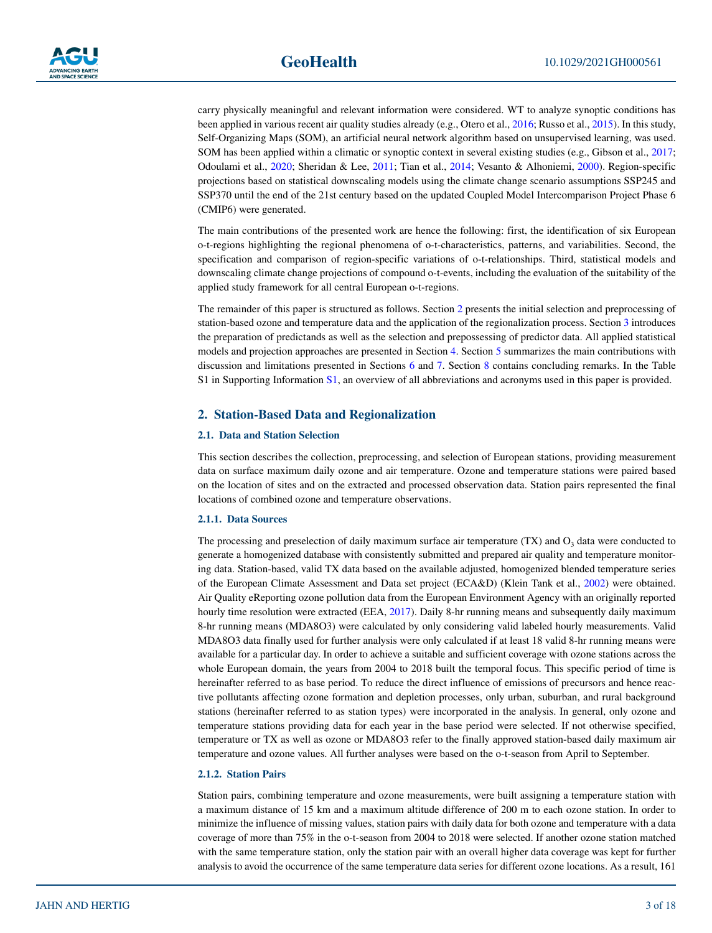

carry physically meaningful and relevant information were considered. WT to analyze synoptic conditions has been applied in various recent air quality studies already (e.g., Otero et al., [2016](#page-16-12); Russo et al., [2015\)](#page-16-17). In this study, Self-Organizing Maps (SOM), an artificial neural network algorithm based on unsupervised learning, was used. SOM has been applied within a climatic or synoptic context in several existing studies (e.g., Gibson et al., [2017;](#page-16-18) Odoulami et al., [2020](#page-16-19); Sheridan & Lee, [2011;](#page-16-20) Tian et al., [2014;](#page-17-6) Vesanto & Alhoniemi, [2000\)](#page-17-7). Region-specific projections based on statistical downscaling models using the climate change scenario assumptions SSP245 and SSP370 until the end of the 21st century based on the updated Coupled Model Intercomparison Project Phase 6 (CMIP6) were generated.

The main contributions of the presented work are hence the following: first, the identification of six European o-t-regions highlighting the regional phenomena of o-t-characteristics, patterns, and variabilities. Second, the specification and comparison of region-specific variations of o-t-relationships. Third, statistical models and downscaling climate change projections of compound o-t-events, including the evaluation of the suitability of the applied study framework for all central European o-t-regions.

The remainder of this paper is structured as follows. Section [2](#page-2-0) presents the initial selection and preprocessing of station-based ozone and temperature data and the application of the regionalization process. Section [3](#page-4-0) introduces the preparation of predictands as well as the selection and prepossessing of predictor data. All applied statistical models and projection approaches are presented in Section [4.](#page-5-0) Section [5](#page-7-0) summarizes the main contributions with discussion and limitations presented in Sections [6](#page-12-0) and [7](#page-14-0). Section [8](#page-15-5) contains concluding remarks. In the Table S1 in Supporting Information S1, an overview of all abbreviations and acronyms used in this paper is provided.

#### <span id="page-2-0"></span>**2. Station-Based Data and Regionalization**

#### **2.1. Data and Station Selection**

This section describes the collection, preprocessing, and selection of European stations, providing measurement data on surface maximum daily ozone and air temperature. Ozone and temperature stations were paired based on the location of sites and on the extracted and processed observation data. Station pairs represented the final locations of combined ozone and temperature observations.

#### **2.1.1. Data Sources**

The processing and preselection of daily maximum surface air temperature  $(TX)$  and  $O<sub>3</sub>$  data were conducted to generate a homogenized database with consistently submitted and prepared air quality and temperature monitoring data. Station-based, valid TX data based on the available adjusted, homogenized blended temperature series of the European Climate Assessment and Data set project (ECA&D) (Klein Tank et al., [2002\)](#page-16-21) were obtained. Air Quality eReporting ozone pollution data from the European Environment Agency with an originally reported hourly time resolution were extracted (EEA, [2017\)](#page-16-22). Daily 8-hr running means and subsequently daily maximum 8-hr running means (MDA8O3) were calculated by only considering valid labeled hourly measurements. Valid MDA8O3 data finally used for further analysis were only calculated if at least 18 valid 8-hr running means were available for a particular day. In order to achieve a suitable and sufficient coverage with ozone stations across the whole European domain, the years from 2004 to 2018 built the temporal focus. This specific period of time is hereinafter referred to as base period. To reduce the direct influence of emissions of precursors and hence reactive pollutants affecting ozone formation and depletion processes, only urban, suburban, and rural background stations (hereinafter referred to as station types) were incorporated in the analysis. In general, only ozone and temperature stations providing data for each year in the base period were selected. If not otherwise specified, temperature or TX as well as ozone or MDA8O3 refer to the finally approved station-based daily maximum air temperature and ozone values. All further analyses were based on the o-t-season from April to September.

#### **2.1.2. Station Pairs**

Station pairs, combining temperature and ozone measurements, were built assigning a temperature station with a maximum distance of 15 km and a maximum altitude difference of 200 m to each ozone station. In order to minimize the influence of missing values, station pairs with daily data for both ozone and temperature with a data coverage of more than 75% in the o-t-season from 2004 to 2018 were selected. If another ozone station matched with the same temperature station, only the station pair with an overall higher data coverage was kept for further analysis to avoid the occurrence of the same temperature data series for different ozone locations. As a result, 161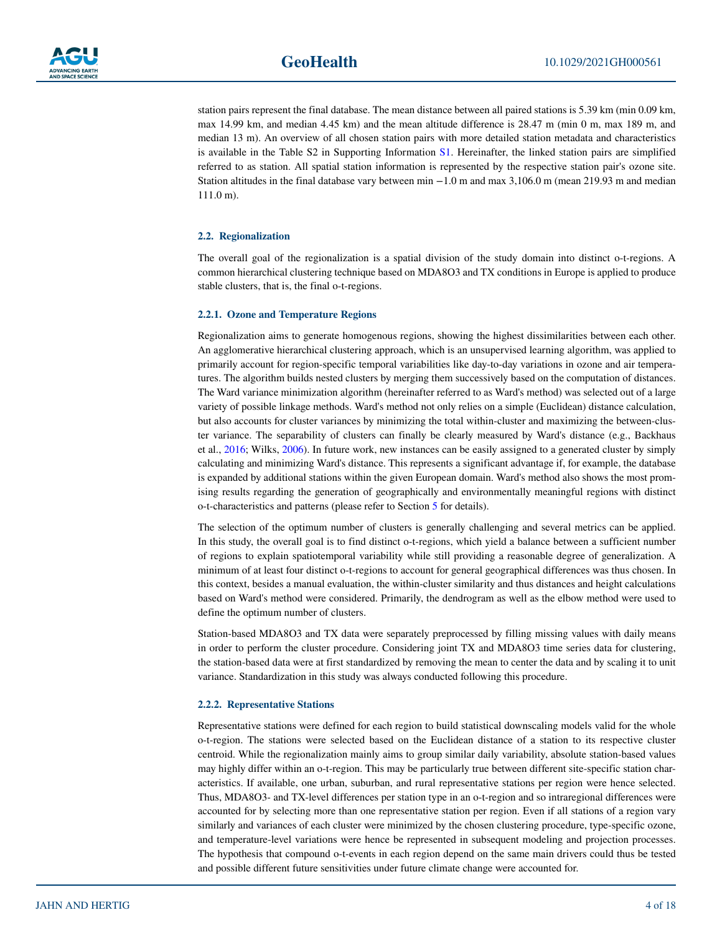

station pairs represent the final database. The mean distance between all paired stations is 5.39 km (min 0.09 km, max 14.99 km, and median 4.45 km) and the mean altitude difference is 28.47 m (min 0 m, max 189 m, and median 13 m). An overview of all chosen station pairs with more detailed station metadata and characteristics is available in the Table S2 in Supporting Information S1. Hereinafter, the linked station pairs are simplified referred to as station. All spatial station information is represented by the respective station pair's ozone site. Station altitudes in the final database vary between min −1.0 m and max 3,106.0 m (mean 219.93 m and median 111.0 m).

#### **2.2. Regionalization**

The overall goal of the regionalization is a spatial division of the study domain into distinct o-t-regions. A common hierarchical clustering technique based on MDA8O3 and TX conditions in Europe is applied to produce stable clusters, that is, the final o-t-regions.

#### **2.2.1. Ozone and Temperature Regions**

Regionalization aims to generate homogenous regions, showing the highest dissimilarities between each other. An agglomerative hierarchical clustering approach, which is an unsupervised learning algorithm, was applied to primarily account for region-specific temporal variabilities like day-to-day variations in ozone and air temperatures. The algorithm builds nested clusters by merging them successively based on the computation of distances. The Ward variance minimization algorithm (hereinafter referred to as Ward's method) was selected out of a large variety of possible linkage methods. Ward's method not only relies on a simple (Euclidean) distance calculation, but also accounts for cluster variances by minimizing the total within-cluster and maximizing the between-cluster variance. The separability of clusters can finally be clearly measured by Ward's distance (e.g., Backhaus et al., [2016](#page-15-6); Wilks, [2006](#page-17-8)). In future work, new instances can be easily assigned to a generated cluster by simply calculating and minimizing Ward's distance. This represents a significant advantage if, for example, the database is expanded by additional stations within the given European domain. Ward's method also shows the most promising results regarding the generation of geographically and environmentally meaningful regions with distinct o-t-characteristics and patterns (please refer to Section [5](#page-7-0) for details).

The selection of the optimum number of clusters is generally challenging and several metrics can be applied. In this study, the overall goal is to find distinct o-t-regions, which yield a balance between a sufficient number of regions to explain spatiotemporal variability while still providing a reasonable degree of generalization. A minimum of at least four distinct o-t-regions to account for general geographical differences was thus chosen. In this context, besides a manual evaluation, the within-cluster similarity and thus distances and height calculations based on Ward's method were considered. Primarily, the dendrogram as well as the elbow method were used to define the optimum number of clusters.

Station-based MDA8O3 and TX data were separately preprocessed by filling missing values with daily means in order to perform the cluster procedure. Considering joint TX and MDA8O3 time series data for clustering, the station-based data were at first standardized by removing the mean to center the data and by scaling it to unit variance. Standardization in this study was always conducted following this procedure.

#### **2.2.2. Representative Stations**

Representative stations were defined for each region to build statistical downscaling models valid for the whole o-t-region. The stations were selected based on the Euclidean distance of a station to its respective cluster centroid. While the regionalization mainly aims to group similar daily variability, absolute station-based values may highly differ within an o-t-region. This may be particularly true between different site-specific station characteristics. If available, one urban, suburban, and rural representative stations per region were hence selected. Thus, MDA8O3- and TX-level differences per station type in an o-t-region and so intraregional differences were accounted for by selecting more than one representative station per region. Even if all stations of a region vary similarly and variances of each cluster were minimized by the chosen clustering procedure, type-specific ozone, and temperature-level variations were hence be represented in subsequent modeling and projection processes. The hypothesis that compound o-t-events in each region depend on the same main drivers could thus be tested and possible different future sensitivities under future climate change were accounted for.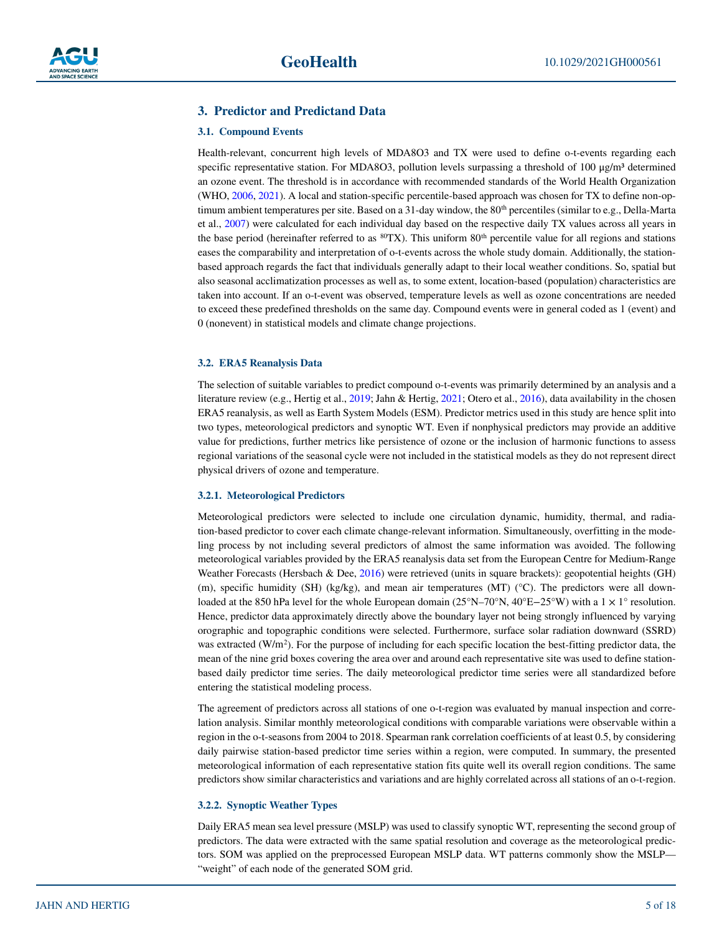#### <span id="page-4-0"></span>**3. Predictor and Predictand Data**

#### **3.1. Compound Events**

Health-relevant, concurrent high levels of MDA8O3 and TX were used to define o-t-events regarding each specific representative station. For MDA8O3, pollution levels surpassing a threshold of 100  $\mu$ g/m<sup>3</sup> determined an ozone event. The threshold is in accordance with recommended standards of the World Health Organization (WHO, [2006,](#page-17-9) [2021](#page-17-10)). A local and station-specific percentile-based approach was chosen for TX to define non-optimum ambient temperatures per site. Based on a 31-day window, the  $80<sup>th</sup>$  percentiles (similar to e.g., Della-Marta et al., [2007\)](#page-16-23) were calculated for each individual day based on the respective daily TX values across all years in the base period (hereinafter referred to as  ${}^{80}TX$ ). This uniform  $80<sup>th</sup>$  percentile value for all regions and stations eases the comparability and interpretation of o-t-events across the whole study domain. Additionally, the stationbased approach regards the fact that individuals generally adapt to their local weather conditions. So, spatial but also seasonal acclimatization processes as well as, to some extent, location-based (population) characteristics are taken into account. If an o-t-event was observed, temperature levels as well as ozone concentrations are needed to exceed these predefined thresholds on the same day. Compound events were in general coded as 1 (event) and 0 (nonevent) in statistical models and climate change projections.

#### **3.2. ERA5 Reanalysis Data**

The selection of suitable variables to predict compound o-t-events was primarily determined by an analysis and a literature review (e.g., Hertig et al., [2019;](#page-16-24) Jahn & Hertig, [2021](#page-16-10); Otero et al., [2016\)](#page-16-12), data availability in the chosen ERA5 reanalysis, as well as Earth System Models (ESM). Predictor metrics used in this study are hence split into two types, meteorological predictors and synoptic WT. Even if nonphysical predictors may provide an additive value for predictions, further metrics like persistence of ozone or the inclusion of harmonic functions to assess regional variations of the seasonal cycle were not included in the statistical models as they do not represent direct physical drivers of ozone and temperature.

#### **3.2.1. Meteorological Predictors**

Meteorological predictors were selected to include one circulation dynamic, humidity, thermal, and radiation-based predictor to cover each climate change-relevant information. Simultaneously, overfitting in the modeling process by not including several predictors of almost the same information was avoided. The following meteorological variables provided by the ERA5 reanalysis data set from the European Centre for Medium-Range Weather Forecasts (Hersbach & Dee, [2016\)](#page-16-25) were retrieved (units in square brackets): geopotential heights (GH) (m), specific humidity (SH) (kg/kg), and mean air temperatures (MT) (°C). The predictors were all downloaded at the 850 hPa level for the whole European domain (25°N–70°N, 40°E−25°W) with a 1 × 1° resolution. Hence, predictor data approximately directly above the boundary layer not being strongly influenced by varying orographic and topographic conditions were selected. Furthermore, surface solar radiation downward (SSRD) was extracted  $(W/m^2)$ . For the purpose of including for each specific location the best-fitting predictor data, the mean of the nine grid boxes covering the area over and around each representative site was used to define stationbased daily predictor time series. The daily meteorological predictor time series were all standardized before entering the statistical modeling process.

The agreement of predictors across all stations of one o-t-region was evaluated by manual inspection and correlation analysis. Similar monthly meteorological conditions with comparable variations were observable within a region in the o-t-seasons from 2004 to 2018. Spearman rank correlation coefficients of at least 0.5, by considering daily pairwise station-based predictor time series within a region, were computed. In summary, the presented meteorological information of each representative station fits quite well its overall region conditions. The same predictors show similar characteristics and variations and are highly correlated across all stations of an o-t-region.

#### **3.2.2. Synoptic Weather Types**

Daily ERA5 mean sea level pressure (MSLP) was used to classify synoptic WT, representing the second group of predictors. The data were extracted with the same spatial resolution and coverage as the meteorological predictors. SOM was applied on the preprocessed European MSLP data. WT patterns commonly show the MSLP— "weight" of each node of the generated SOM grid.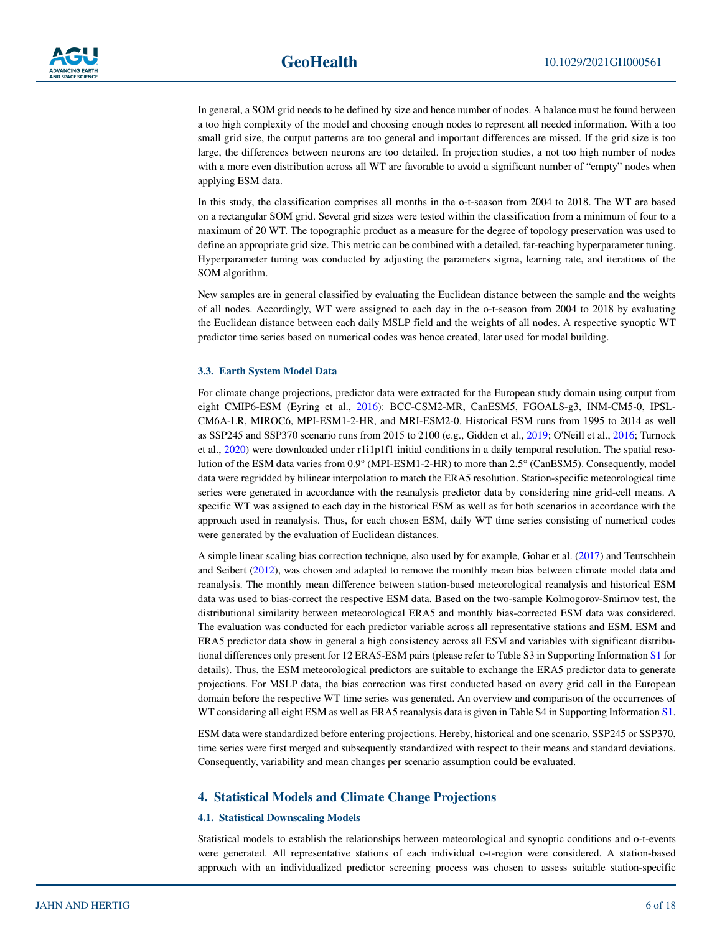In general, a SOM grid needs to be defined by size and hence number of nodes. A balance must be found between a too high complexity of the model and choosing enough nodes to represent all needed information. With a too small grid size, the output patterns are too general and important differences are missed. If the grid size is too large, the differences between neurons are too detailed. In projection studies, a not too high number of nodes with a more even distribution across all WT are favorable to avoid a significant number of "empty" nodes when applying ESM data.

In this study, the classification comprises all months in the o-t-season from 2004 to 2018. The WT are based on a rectangular SOM grid. Several grid sizes were tested within the classification from a minimum of four to a maximum of 20 WT. The topographic product as a measure for the degree of topology preservation was used to define an appropriate grid size. This metric can be combined with a detailed, far-reaching hyperparameter tuning. Hyperparameter tuning was conducted by adjusting the parameters sigma, learning rate, and iterations of the SOM algorithm.

New samples are in general classified by evaluating the Euclidean distance between the sample and the weights of all nodes. Accordingly, WT were assigned to each day in the o-t-season from 2004 to 2018 by evaluating the Euclidean distance between each daily MSLP field and the weights of all nodes. A respective synoptic WT predictor time series based on numerical codes was hence created, later used for model building.

#### **3.3. Earth System Model Data**

For climate change projections, predictor data were extracted for the European study domain using output from eight CMIP6-ESM (Eyring et al., [2016](#page-16-26)): BCC-CSM2-MR, CanESM5, FGOALS-g3, INM-CM5-0, IPSL-CM6A-LR, MIROC6, MPI-ESM1-2-HR, and MRI-ESM2-0. Historical ESM runs from 1995 to 2014 as well as SSP245 and SSP370 scenario runs from 2015 to 2100 (e.g., Gidden et al., [2019;](#page-16-27) O'Neill et al., [2016;](#page-16-28) Turnock et al., [2020](#page-17-11)) were downloaded under r1i1p1f1 initial conditions in a daily temporal resolution. The spatial resolution of the ESM data varies from 0.9° (MPI-ESM1-2-HR) to more than 2.5° (CanESM5). Consequently, model data were regridded by bilinear interpolation to match the ERA5 resolution. Station-specific meteorological time series were generated in accordance with the reanalysis predictor data by considering nine grid-cell means. A specific WT was assigned to each day in the historical ESM as well as for both scenarios in accordance with the approach used in reanalysis. Thus, for each chosen ESM, daily WT time series consisting of numerical codes were generated by the evaluation of Euclidean distances.

A simple linear scaling bias correction technique, also used by for example, Gohar et al. [\(2017](#page-16-29)) and Teutschbein and Seibert ([2012\)](#page-17-12), was chosen and adapted to remove the monthly mean bias between climate model data and reanalysis. The monthly mean difference between station-based meteorological reanalysis and historical ESM data was used to bias-correct the respective ESM data. Based on the two-sample Kolmogorov-Smirnov test, the distributional similarity between meteorological ERA5 and monthly bias-corrected ESM data was considered. The evaluation was conducted for each predictor variable across all representative stations and ESM. ESM and ERA5 predictor data show in general a high consistency across all ESM and variables with significant distributional differences only present for 12 ERA5-ESM pairs (please refer to Table S3 in Supporting Information S1 for details). Thus, the ESM meteorological predictors are suitable to exchange the ERA5 predictor data to generate projections. For MSLP data, the bias correction was first conducted based on every grid cell in the European domain before the respective WT time series was generated. An overview and comparison of the occurrences of WT considering all eight ESM as well as ERA5 reanalysis data is given in Table S4 in Supporting Information S1.

ESM data were standardized before entering projections. Hereby, historical and one scenario, SSP245 or SSP370, time series were first merged and subsequently standardized with respect to their means and standard deviations. Consequently, variability and mean changes per scenario assumption could be evaluated.

#### <span id="page-5-0"></span>**4. Statistical Models and Climate Change Projections**

#### **4.1. Statistical Downscaling Models**

Statistical models to establish the relationships between meteorological and synoptic conditions and o-t-events were generated. All representative stations of each individual o-t-region were considered. A station-based approach with an individualized predictor screening process was chosen to assess suitable station-specific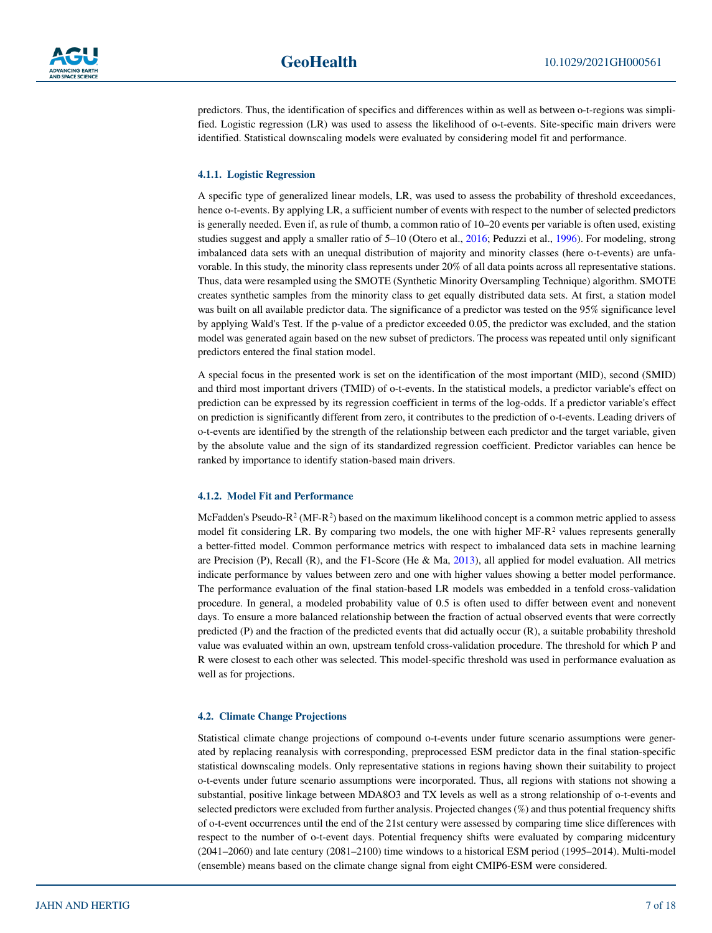

predictors. Thus, the identification of specifics and differences within as well as between o-t-regions was simplified. Logistic regression (LR) was used to assess the likelihood of o-t-events. Site-specific main drivers were identified. Statistical downscaling models were evaluated by considering model fit and performance.

#### **4.1.1. Logistic Regression**

A specific type of generalized linear models, LR, was used to assess the probability of threshold exceedances, hence o-t-events. By applying LR, a sufficient number of events with respect to the number of selected predictors is generally needed. Even if, as rule of thumb, a common ratio of 10–20 events per variable is often used, existing studies suggest and apply a smaller ratio of 5–10 (Otero et al., [2016](#page-16-12); Peduzzi et al., [1996](#page-16-30)). For modeling, strong imbalanced data sets with an unequal distribution of majority and minority classes (here o-t-events) are unfavorable. In this study, the minority class represents under 20% of all data points across all representative stations. Thus, data were resampled using the SMOTE (Synthetic Minority Oversampling Technique) algorithm. SMOTE creates synthetic samples from the minority class to get equally distributed data sets. At first, a station model was built on all available predictor data. The significance of a predictor was tested on the 95% significance level by applying Wald's Test. If the p-value of a predictor exceeded 0.05, the predictor was excluded, and the station model was generated again based on the new subset of predictors. The process was repeated until only significant predictors entered the final station model.

A special focus in the presented work is set on the identification of the most important (MID), second (SMID) and third most important drivers (TMID) of o-t-events. In the statistical models, a predictor variable's effect on prediction can be expressed by its regression coefficient in terms of the log-odds. If a predictor variable's effect on prediction is significantly different from zero, it contributes to the prediction of o-t-events. Leading drivers of o-t-events are identified by the strength of the relationship between each predictor and the target variable, given by the absolute value and the sign of its standardized regression coefficient. Predictor variables can hence be ranked by importance to identify station-based main drivers.

#### **4.1.2. Model Fit and Performance**

McFadden's Pseudo-R<sup>2</sup> (MF-R<sup>2</sup>) based on the maximum likelihood concept is a common metric applied to assess model fit considering LR. By comparing two models, the one with higher  $MF-R^2$  values represents generally a better-fitted model. Common performance metrics with respect to imbalanced data sets in machine learning are Precision (P), Recall (R), and the F1-Score (He  $\&$  Ma, [2013\)](#page-16-31), all applied for model evaluation. All metrics indicate performance by values between zero and one with higher values showing a better model performance. The performance evaluation of the final station-based LR models was embedded in a tenfold cross-validation procedure. In general, a modeled probability value of 0.5 is often used to differ between event and nonevent days. To ensure a more balanced relationship between the fraction of actual observed events that were correctly predicted (P) and the fraction of the predicted events that did actually occur (R), a suitable probability threshold value was evaluated within an own, upstream tenfold cross-validation procedure. The threshold for which P and R were closest to each other was selected. This model-specific threshold was used in performance evaluation as well as for projections.

#### **4.2. Climate Change Projections**

Statistical climate change projections of compound o-t-events under future scenario assumptions were generated by replacing reanalysis with corresponding, preprocessed ESM predictor data in the final station-specific statistical downscaling models. Only representative stations in regions having shown their suitability to project o-t-events under future scenario assumptions were incorporated. Thus, all regions with stations not showing a substantial, positive linkage between MDA8O3 and TX levels as well as a strong relationship of o-t-events and selected predictors were excluded from further analysis. Projected changes (%) and thus potential frequency shifts of o-t-event occurrences until the end of the 21st century were assessed by comparing time slice differences with respect to the number of o-t-event days. Potential frequency shifts were evaluated by comparing midcentury (2041–2060) and late century (2081–2100) time windows to a historical ESM period (1995–2014). Multi-model (ensemble) means based on the climate change signal from eight CMIP6-ESM were considered.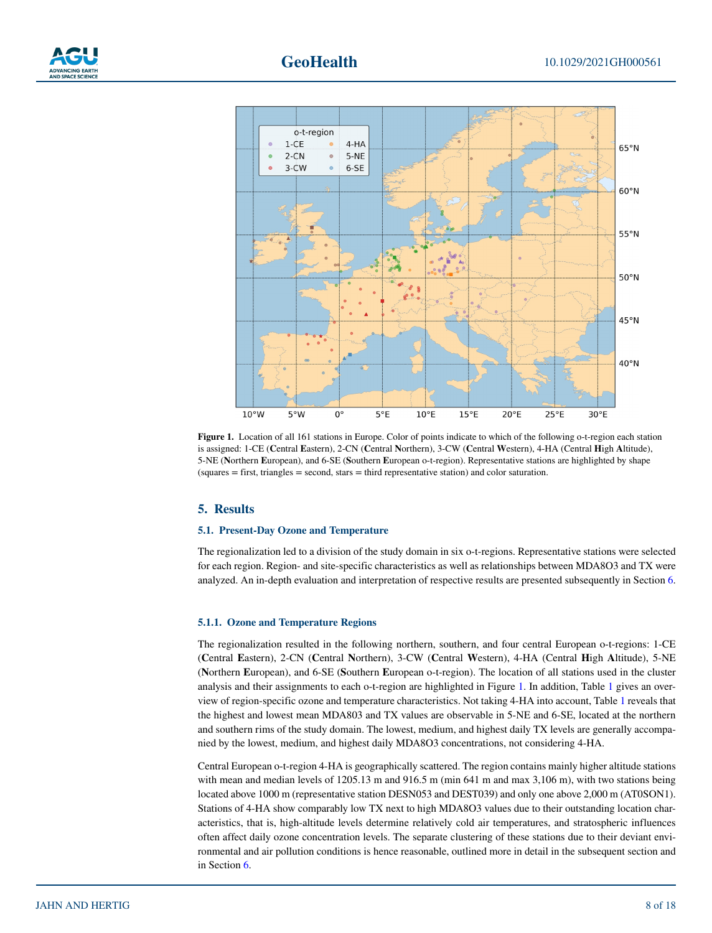



<span id="page-7-1"></span>**Figure 1.** Location of all 161 stations in Europe. Color of points indicate to which of the following o-t-region each station is assigned: 1-CE (**C**entral **E**astern), 2-CN (**C**entral **N**orthern), 3-CW (**C**entral **W**estern), 4-HA (Central **H**igh **A**ltitude), 5-NE (**N**orthern **E**uropean), and 6-SE (**S**outhern **E**uropean o-t-region). Representative stations are highlighted by shape (squares = first, triangles = second, stars = third representative station) and color saturation.

#### <span id="page-7-0"></span>**5. Results**

#### **5.1. Present-Day Ozone and Temperature**

The regionalization led to a division of the study domain in six o-t-regions. Representative stations were selected for each region. Region- and site-specific characteristics as well as relationships between MDA8O3 and TX were analyzed. An in-depth evaluation and interpretation of respective results are presented subsequently in Section [6](#page-12-0).

#### **5.1.1. Ozone and Temperature Regions**

The regionalization resulted in the following northern, southern, and four central European o-t-regions: 1-CE (**C**entral **E**astern), 2-CN (**C**entral **N**orthern), 3-CW (**C**entral **W**estern), 4-HA (Central **H**igh **A**ltitude), 5-NE (**N**orthern **E**uropean), and 6-SE (**S**outhern **E**uropean o-t-region). The location of all stations used in the cluster analysis and their assignments to each o-t-region are highlighted in Figure [1.](#page-7-1) In addition, Table [1](#page-8-0) gives an overview of region-specific ozone and temperature characteristics. Not taking 4-HA into account, Table [1](#page-8-0) reveals that the highest and lowest mean MDA803 and TX values are observable in 5-NE and 6-SE, located at the northern and southern rims of the study domain. The lowest, medium, and highest daily TX levels are generally accompanied by the lowest, medium, and highest daily MDA8O3 concentrations, not considering 4-HA.

Central European o-t-region 4-HA is geographically scattered. The region contains mainly higher altitude stations with mean and median levels of 1205.13 m and 916.5 m (min 641 m and max 3,106 m), with two stations being located above 1000 m (representative station DESN053 and DEST039) and only one above 2,000 m (AT0SON1). Stations of 4-HA show comparably low TX next to high MDA8O3 values due to their outstanding location characteristics, that is, high-altitude levels determine relatively cold air temperatures, and stratospheric influences often affect daily ozone concentration levels. The separate clustering of these stations due to their deviant environmental and air pollution conditions is hence reasonable, outlined more in detail in the subsequent section and in Section [6.](#page-12-0)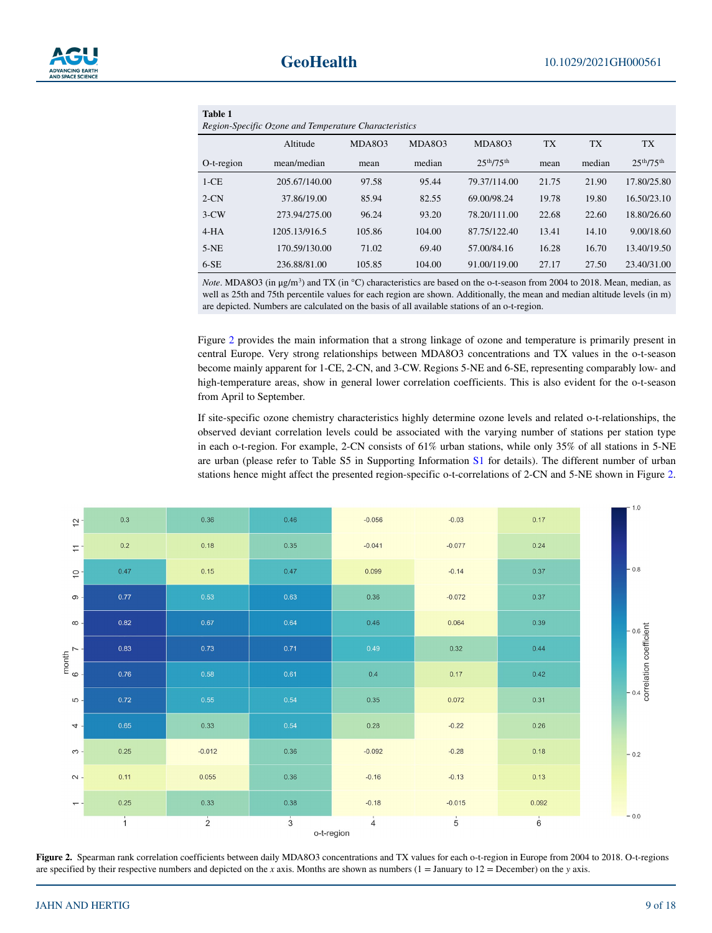<span id="page-8-0"></span>

| Table 1                                               |               |        |        |                                     |           |           |                                    |  |
|-------------------------------------------------------|---------------|--------|--------|-------------------------------------|-----------|-----------|------------------------------------|--|
| Region-Specific Ozone and Temperature Characteristics |               |        |        |                                     |           |           |                                    |  |
|                                                       | Altitude      | MDA803 | MDA803 | MDA803                              | <b>TX</b> | <b>TX</b> | <b>TX</b>                          |  |
| O-t-region                                            | mean/median   | mean   | median | 2.5 <sup>th</sup> /75 <sup>th</sup> | mean      | median    | 25 <sup>th</sup> /75 <sup>th</sup> |  |
| $1-CE$                                                | 205.67/140.00 | 97.58  | 95.44  | 79.37/114.00                        | 21.75     | 21.90     | 17.80/25.80                        |  |
| $2-CN$                                                | 37.86/19.00   | 85.94  | 82.55  | 69.00/98.24                         | 19.78     | 19.80     | 16.50/23.10                        |  |
| $3-CW$                                                | 273.94/275.00 | 96.24  | 93.20  | 78.20/111.00                        | 22.68     | 22.60     | 18.80/26.60                        |  |
| $4-HA$                                                | 1205.13/916.5 | 105.86 | 104.00 | 87.75/122.40                        | 13.41     | 14.10     | 9.00/18.60                         |  |
| $5-NE$                                                | 170.59/130.00 | 71.02  | 69.40  | 57.00/84.16                         | 16.28     | 16.70     | 13.40/19.50                        |  |
| $6-SE$                                                | 236.88/81.00  | 105.85 | 104.00 | 91.00/119.00                        | 27.17     | 27.50     | 23.40/31.00                        |  |

*Note*. MDA8O3 (in μg/m<sup>3</sup>) and TX (in °C) characteristics are based on the o-t-season from 2004 to 2018. Mean, median, as well as 25th and 75th percentile values for each region are shown. Additionally, the mean and median altitude levels (in m) are depicted. Numbers are calculated on the basis of all available stations of an o-t-region.

Figure [2](#page-8-1) provides the main information that a strong linkage of ozone and temperature is primarily present in central Europe. Very strong relationships between MDA8O3 concentrations and TX values in the o-t-season become mainly apparent for 1-CE, 2-CN, and 3-CW. Regions 5-NE and 6-SE, representing comparably low- and high-temperature areas, show in general lower correlation coefficients. This is also evident for the o-t-season from April to September.

If site-specific ozone chemistry characteristics highly determine ozone levels and related o-t-relationships, the observed deviant correlation levels could be associated with the varying number of stations per station type in each o-t-region. For example, 2-CN consists of 61% urban stations, while only 35% of all stations in 5-NE are urban (please refer to Table S5 in Supporting Information S1 for details). The different number of urban stations hence might affect the presented region-specific o-t-correlations of 2-CN and 5-NE shown in Figure [2](#page-8-1).

|                          |               |               |                             |                |                |                      | $-1.0$                                   |
|--------------------------|---------------|---------------|-----------------------------|----------------|----------------|----------------------|------------------------------------------|
| $\frac{1}{2}$            | 0.3           | 0.36          | 0.46                        | $-0.056$       | $-0.03$        | 0.17                 |                                          |
| $\approx$                | 0.2           | 0.18          | 0.35                        | $-0.041$       | $-0.077$       | 0.24                 |                                          |
| P                        | 0.47          | 0.15          | 0.47                        | 0.099          | $-0.14$        | 0.37                 | $-0.8$                                   |
| $\infty$ -               | 0.77          | 0.53          | 0.63                        | 0.36           | $-0.072$       | 0.37                 |                                          |
| $\infty$ -               | 0.82          | 0.67          | 0.64                        | 0.46           | 0.064          | 0.39                 |                                          |
|                          | 0.83          | 0.73          | 0.71                        | 0.49           | 0.32           | 0.44                 | $\frac{1}{2}$<br>correlation coefficient |
| month<br>6 $\frac{7}{7}$ | 0.76          | 0.58          | 0.61                        | 0.4            | 0.17           | 0.42                 |                                          |
| $\omega$ -               | 0.72          | 0.55          | 0.54                        | 0.35           | 0.072          | 0.31                 |                                          |
| $4 -$                    | $0.65 -$      | 0.33          | 0.54                        | 0.28           | $-0.22$        | 0.26                 |                                          |
| က -                      | 0.25          | $-0.012$      | 0.36                        | $-0.092$       | $-0.28$        | 0.18                 | $-0.2$                                   |
| $\sim$                   | 0.11          | 0.055         | 0.36                        | $-0.16$        | $-0.13$        | 0.13                 |                                          |
| $- -$                    | 0.25          | 0.33          | 0.38                        | $-0.18$        | $-0.015$       | 0.092                |                                          |
|                          | $\frac{1}{1}$ | $\frac{1}{2}$ | $\frac{1}{3}$<br>o-t-region | $\overline{4}$ | $\overline{5}$ | $\overrightarrow{6}$ | $-0.0$                                   |

<span id="page-8-1"></span>Figure 2. Spearman rank correlation coefficients between daily MDA8O3 concentrations and TX values for each o-t-region in Europe from 2004 to 2018. O-t-regions are specified by their respective numbers and depicted on the *x* axis. Months are shown as numbers (1 = January to 12 = December) on the *y* axis.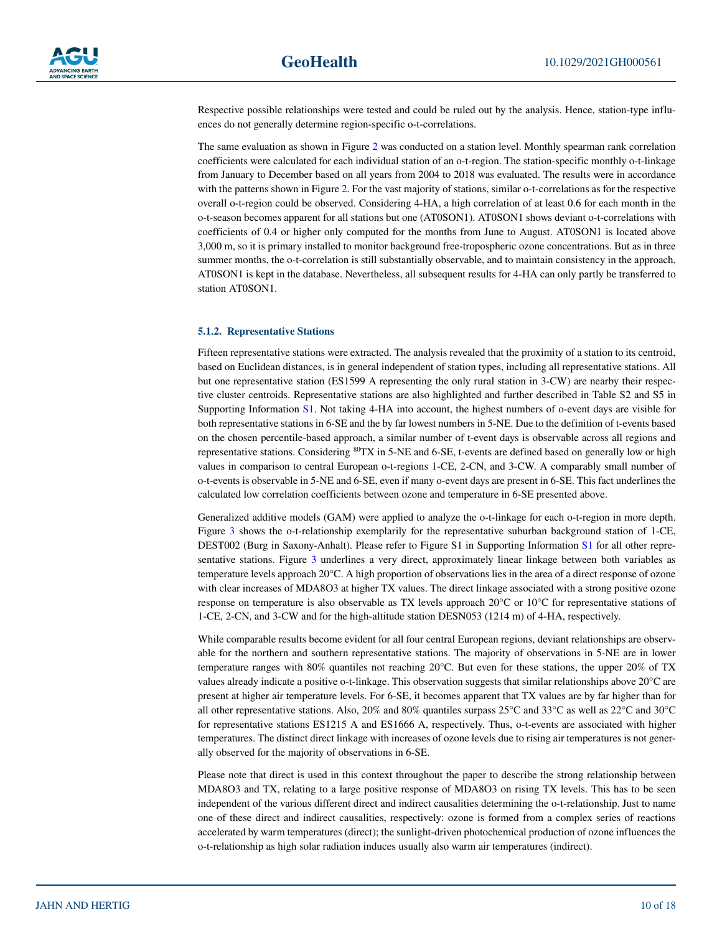Respective possible relationships were tested and could be ruled out by the analysis. Hence, station-type influences do not generally determine region-specific o-t-correlations.

The same evaluation as shown in Figure [2](#page-8-1) was conducted on a station level. Monthly spearman rank correlation coefficients were calculated for each individual station of an o-t-region. The station-specific monthly o-t-linkage from January to December based on all years from 2004 to 2018 was evaluated. The results were in accordance with the patterns shown in Figure [2.](#page-8-1) For the vast majority of stations, similar o-t-correlations as for the respective overall o-t-region could be observed. Considering 4-HA, a high correlation of at least 0.6 for each month in the o-t-season becomes apparent for all stations but one (AT0SON1). AT0SON1 shows deviant o-t-correlations with coefficients of 0.4 or higher only computed for the months from June to August. AT0SON1 is located above 3,000 m, so it is primary installed to monitor background free-tropospheric ozone concentrations. But as in three summer months, the o-t-correlation is still substantially observable, and to maintain consistency in the approach, AT0SON1 is kept in the database. Nevertheless, all subsequent results for 4-HA can only partly be transferred to station AT0SON1.

#### **5.1.2. Representative Stations**

Fifteen representative stations were extracted. The analysis revealed that the proximity of a station to its centroid, based on Euclidean distances, is in general independent of station types, including all representative stations. All but one representative station (ES1599 A representing the only rural station in 3-CW) are nearby their respective cluster centroids. Representative stations are also highlighted and further described in Table S2 and S5 in Supporting Information S1. Not taking 4-HA into account, the highest numbers of o-event days are visible for both representative stations in 6-SE and the by far lowest numbers in 5-NE. Due to the definition of t-events based on the chosen percentile-based approach, a similar number of t-event days is observable across all regions and representative stations. Considering <sup>80</sup>TX in 5-NE and 6-SE, t-events are defined based on generally low or high values in comparison to central European o-t-regions 1-CE, 2-CN, and 3-CW. A comparably small number of o-t-events is observable in 5-NE and 6-SE, even if many o-event days are present in 6-SE. This fact underlines the calculated low correlation coefficients between ozone and temperature in 6-SE presented above.

Generalized additive models (GAM) were applied to analyze the o-t-linkage for each o-t-region in more depth. Figure [3](#page-10-0) shows the o-t-relationship exemplarily for the representative suburban background station of 1-CE, DEST002 (Burg in Saxony-Anhalt). Please refer to Figure S1 in Supporting Information S1 for all other repre-sentative stations. Figure [3](#page-10-0) underlines a very direct, approximately linear linkage between both variables as temperature levels approach 20°C. A high proportion of observations lies in the area of a direct response of ozone with clear increases of MDA8O3 at higher TX values. The direct linkage associated with a strong positive ozone response on temperature is also observable as TX levels approach 20°C or 10°C for representative stations of 1-CE, 2-CN, and 3-CW and for the high-altitude station DESN053 (1214 m) of 4-HA, respectively.

While comparable results become evident for all four central European regions, deviant relationships are observable for the northern and southern representative stations. The majority of observations in 5-NE are in lower temperature ranges with 80% quantiles not reaching 20°C. But even for these stations, the upper 20% of TX values already indicate a positive o-t-linkage. This observation suggests that similar relationships above 20°C are present at higher air temperature levels. For 6-SE, it becomes apparent that TX values are by far higher than for all other representative stations. Also, 20% and 80% quantiles surpass 25°C and 33°C as well as 22°C and 30°C for representative stations ES1215 A and ES1666 A, respectively. Thus, o-t-events are associated with higher temperatures. The distinct direct linkage with increases of ozone levels due to rising air temperatures is not generally observed for the majority of observations in 6-SE.

Please note that direct is used in this context throughout the paper to describe the strong relationship between MDA8O3 and TX, relating to a large positive response of MDA8O3 on rising TX levels. This has to be seen independent of the various different direct and indirect causalities determining the o-t-relationship. Just to name one of these direct and indirect causalities, respectively: ozone is formed from a complex series of reactions accelerated by warm temperatures (direct); the sunlight-driven photochemical production of ozone influences the o-t-relationship as high solar radiation induces usually also warm air temperatures (indirect).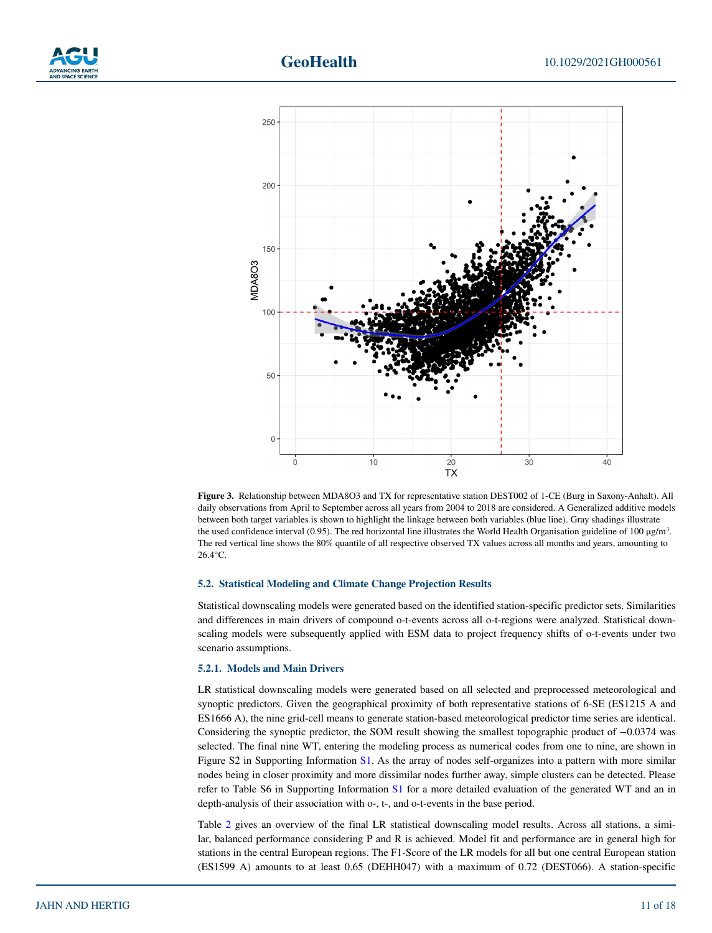



<span id="page-10-0"></span>**Figure 3.** Relationship between MDA8O3 and TX for representative station DEST002 of 1-CE (Burg in Saxony-Anhalt). All daily observations from April to September across all years from 2004 to 2018 are considered. A Generalized additive models between both target variables is shown to highlight the linkage between both variables (blue line). Gray shadings illustrate the used confidence interval (0.95). The red horizontal line illustrates the World Health Organisation guideline of 100  $\mu$ g/m<sup>3</sup>. The red vertical line shows the 80% quantile of all respective observed TX values across all months and years, amounting to 26.4°C.

#### **5.2. Statistical Modeling and Climate Change Projection Results**

Statistical downscaling models were generated based on the identified station-specific predictor sets. Similarities and differences in main drivers of compound o-t-events across all o-t-regions were analyzed. Statistical downscaling models were subsequently applied with ESM data to project frequency shifts of o-t-events under two scenario assumptions.

#### **5.2.1. Models and Main Drivers**

LR statistical downscaling models were generated based on all selected and preprocessed meteorological and synoptic predictors. Given the geographical proximity of both representative stations of 6-SE (ES1215 A and ES1666 A), the nine grid-cell means to generate station-based meteorological predictor time series are identical. Considering the synoptic predictor, the SOM result showing the smallest topographic product of −0.0374 was selected. The final nine WT, entering the modeling process as numerical codes from one to nine, are shown in Figure S2 in Supporting Information S1. As the array of nodes self-organizes into a pattern with more similar nodes being in closer proximity and more dissimilar nodes further away, simple clusters can be detected. Please refer to Table S6 in Supporting Information S1 for a more detailed evaluation of the generated WT and an in depth-analysis of their association with o-, t-, and o-t-events in the base period.

Table [2](#page-11-0) gives an overview of the final LR statistical downscaling model results. Across all stations, a similar, balanced performance considering P and R is achieved. Model fit and performance are in general high for stations in the central European regions. The F1-Score of the LR models for all but one central European station (ES1599 A) amounts to at least 0.65 (DEHH047) with a maximum of 0.72 (DEST066). A station-specific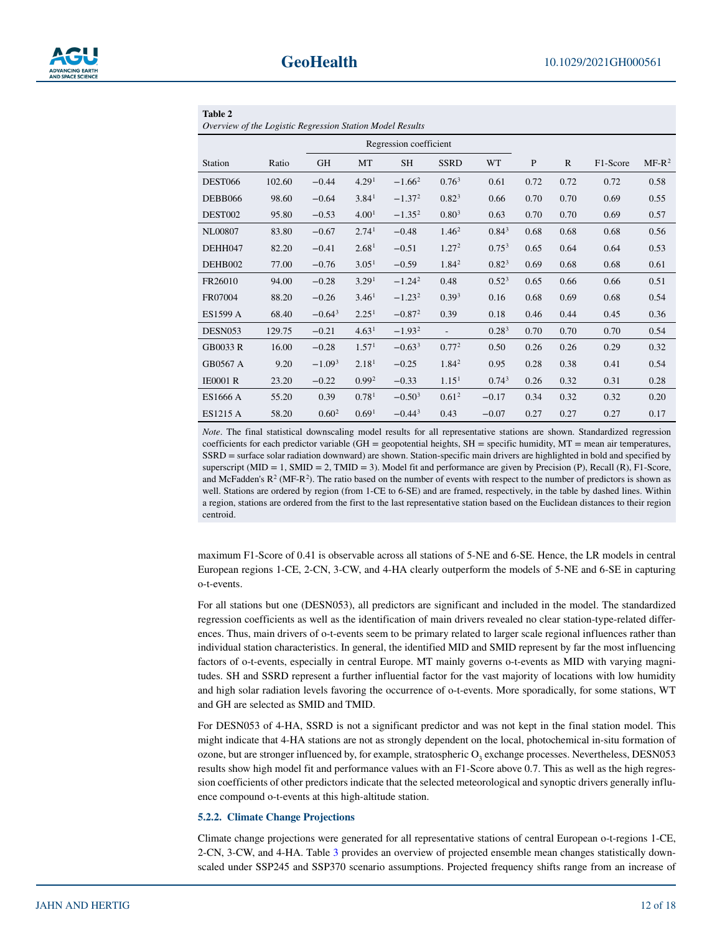<span id="page-11-0"></span>

| Table 2                                                   |        |                        |                   |             |                   |                   |              |              |          |          |
|-----------------------------------------------------------|--------|------------------------|-------------------|-------------|-------------------|-------------------|--------------|--------------|----------|----------|
| Overview of the Logistic Regression Station Model Results |        |                        |                   |             |                   |                   |              |              |          |          |
|                                                           |        | Regression coefficient |                   |             |                   |                   |              |              |          |          |
| Station                                                   | Ratio  | GH                     | MT                | <b>SH</b>   | <b>SSRD</b>       | <b>WT</b>         | $\mathbf{P}$ | $\mathbb{R}$ | F1-Score | $MF-R^2$ |
| DEST066                                                   | 102.60 | $-0.44$                | 4.29 <sup>1</sup> | $-1.66^2$   | 0.76 <sup>3</sup> | 0.61              | 0.72         | 0.72         | 0.72     | 0.58     |
| DEBB066                                                   | 98.60  | $-0.64$                | 3.84 <sup>1</sup> | $-1.37^{2}$ | $0.82^{3}$        | 0.66              | 0.70         | 0.70         | 0.69     | 0.55     |
| DEST002                                                   | 95.80  | $-0.53$                | 4.00 <sup>1</sup> | $-1.35^{2}$ | 0.80 <sup>3</sup> | 0.63              | 0.70         | 0.70         | 0.69     | 0.57     |
| <b>NL00807</b>                                            | 83.80  | $-0.67$                | 2.74 <sup>1</sup> | $-0.48$     | $1.46^2$          | $0.84^{3}$        | 0.68         | 0.68         | 0.68     | 0.56     |
| DEHH047                                                   | 82.20  | $-0.41$                | 2.68 <sup>1</sup> | $-0.51$     | 1.27 <sup>2</sup> | $0.75^{3}$        | 0.65         | 0.64         | 0.64     | 0.53     |
| DEHB002                                                   | 77.00  | $-0.76$                | 3.05 <sup>1</sup> | $-0.59$     | $1.84^2$          | $0.82^{3}$        | 0.69         | 0.68         | 0.68     | 0.61     |
| FR26010                                                   | 94.00  | $-0.28$                | 3.29 <sup>1</sup> | $-1.24^{2}$ | 0.48              | 0.52 <sup>3</sup> | 0.65         | 0.66         | 0.66     | 0.51     |
| FR07004                                                   | 88.20  | $-0.26$                | 3.46 <sup>1</sup> | $-1.232$    | 0.39 <sup>3</sup> | 0.16              | 0.68         | 0.69         | 0.68     | 0.54     |
| ES1599 A                                                  | 68.40  | $-0.64^3$              | 2.25 <sup>1</sup> | $-0.87^{2}$ | 0.39              | 0.18              | 0.46         | 0.44         | 0.45     | 0.36     |
| DESN <sub>053</sub>                                       | 129.75 | $-0.21$                | 4.63 <sup>1</sup> | $-1.932$    |                   | 0.28 <sup>3</sup> | 0.70         | 0.70         | 0.70     | 0.54     |
| GB0033 R                                                  | 16.00  | $-0.28$                | 1.57 <sup>1</sup> | $-0.633$    | 0.77 <sup>2</sup> | 0.50              | 0.26         | 0.26         | 0.29     | 0.32     |
| GB0567 A                                                  | 9.20   | $-1.093$               | 2.18 <sup>1</sup> | $-0.25$     | $1.84^2$          | 0.95              | 0.28         | 0.38         | 0.41     | 0.54     |
| <b>IE0001 R</b>                                           | 23.20  | $-0.22$                | 0.99 <sup>2</sup> | $-0.33$     | 1.15 <sup>1</sup> | 0.74 <sup>3</sup> | 0.26         | 0.32         | 0.31     | 0.28     |
| ES1666 A                                                  | 55.20  | 0.39                   | 0.78 <sup>1</sup> | $-0.503$    | 0.61 <sup>2</sup> | $-0.17$           | 0.34         | 0.32         | 0.32     | 0.20     |
| ES1215 A                                                  | 58.20  | 0.60 <sup>2</sup>      | 0.69 <sup>1</sup> | $-0.443$    | 0.43              | $-0.07$           | 0.27         | 0.27         | 0.27     | 0.17     |

*Note*. The final statistical downscaling model results for all representative stations are shown. Standardized regression coefficients for each predictor variable (GH = geopotential heights,  $SH =$  specific humidity,  $MT =$  mean air temperatures, SSRD = surface solar radiation downward) are shown. Station-specific main drivers are highlighted in bold and specified by superscript (MID = 1, SMID = 2, TMID = 3). Model fit and performance are given by Precision (P), Recall (R), F1-Score, and McFadden's  $\mathbb{R}^2$  (MF-R<sup>2</sup>). The ratio based on the number of events with respect to the number of predictors is shown as well. Stations are ordered by region (from 1-CE to 6-SE) and are framed, respectively, in the table by dashed lines. Within a region, stations are ordered from the first to the last representative station based on the Euclidean distances to their region centroid.

maximum F1-Score of 0.41 is observable across all stations of 5-NE and 6-SE. Hence, the LR models in central European regions 1-CE, 2-CN, 3-CW, and 4-HA clearly outperform the models of 5-NE and 6-SE in capturing o-t-events.

For all stations but one (DESN053), all predictors are significant and included in the model. The standardized regression coefficients as well as the identification of main drivers revealed no clear station-type-related differences. Thus, main drivers of o-t-events seem to be primary related to larger scale regional influences rather than individual station characteristics. In general, the identified MID and SMID represent by far the most influencing factors of o-t-events, especially in central Europe. MT mainly governs o-t-events as MID with varying magnitudes. SH and SSRD represent a further influential factor for the vast majority of locations with low humidity and high solar radiation levels favoring the occurrence of o-t-events. More sporadically, for some stations, WT and GH are selected as SMID and TMID.

For DESN053 of 4-HA, SSRD is not a significant predictor and was not kept in the final station model. This might indicate that 4-HA stations are not as strongly dependent on the local, photochemical in-situ formation of ozone, but are stronger influenced by, for example, stratospheric  $O<sub>3</sub>$  exchange processes. Nevertheless, DESN053 results show high model fit and performance values with an F1-Score above 0.7. This as well as the high regression coefficients of other predictors indicate that the selected meteorological and synoptic drivers generally influence compound o-t-events at this high-altitude station.

#### **5.2.2. Climate Change Projections**

Climate change projections were generated for all representative stations of central European o-t-regions 1-CE, 2-CN, 3-CW, and 4-HA. Table [3](#page-12-1) provides an overview of projected ensemble mean changes statistically downscaled under SSP245 and SSP370 scenario assumptions. Projected frequency shifts range from an increase of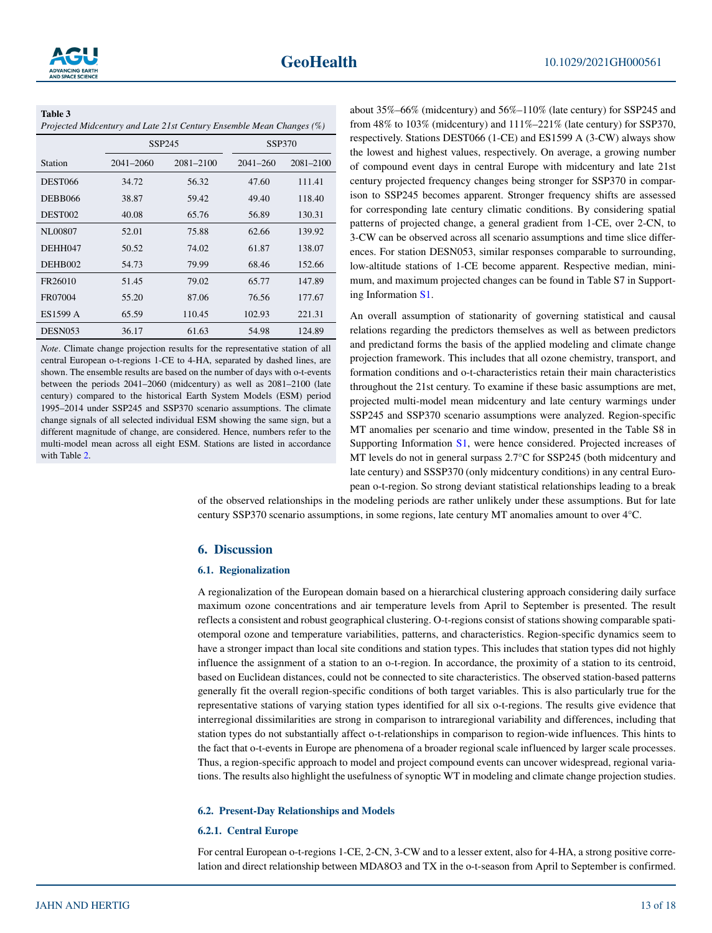#### <span id="page-12-1"></span>**Table 3**

|  | Projected Midcentury and Late 21st Century Ensemble Mean Changes (%) |  |
|--|----------------------------------------------------------------------|--|
|--|----------------------------------------------------------------------|--|

|                     |           | SSP245        | <b>SSP370</b> |               |  |
|---------------------|-----------|---------------|---------------|---------------|--|
| Station             | 2041-2060 | $2081 - 2100$ | $2041 - 260$  | $2081 - 2100$ |  |
| <b>DEST066</b>      | 34.72     | 56.32         | 47.60         | 111.41        |  |
| DEBB066             | 38.87     | 59.42         | 49.40         | 118.40        |  |
| DEST <sub>002</sub> | 40.08     | 65.76         | 56.89         | 130.31        |  |
| NL00807             | 52.01     | 75.88         | 62.66         | 139.92        |  |
| DEHH047             | 50.52     | 74.02         | 61.87         | 138.07        |  |
| DEHB002             | 54.73     | 79.99         | 68.46         | 152.66        |  |
| FR26010             | 51.45     | 79.02         | 65.77         | 147.89        |  |
| FR07004             | 55.20     | 87.06         | 76.56         | 177.67        |  |
| ES1599 A            | 65.59     | 110.45        | 102.93        | 221.31        |  |
| DESN <sub>053</sub> | 36.17     | 61.63         | 54.98         | 124.89        |  |

*Note*. Climate change projection results for the representative station of all central European o-t-regions 1-CE to 4-HA, separated by dashed lines, are shown. The ensemble results are based on the number of days with o-t-events between the periods 2041–2060 (midcentury) as well as 2081–2100 (late century) compared to the historical Earth System Models (ESM) period 1995–2014 under SSP245 and SSP370 scenario assumptions. The climate change signals of all selected individual ESM showing the same sign, but a different magnitude of change, are considered. Hence, numbers refer to the multi-model mean across all eight ESM. Stations are listed in accordance with Table [2.](#page-11-0)

about 35%–66% (midcentury) and 56%–110% (late century) for SSP245 and from 48% to 103% (midcentury) and 111%–221% (late century) for SSP370, respectively. Stations DEST066 (1-CE) and ES1599 A (3-CW) always show the lowest and highest values, respectively. On average, a growing number of compound event days in central Europe with midcentury and late 21st century projected frequency changes being stronger for SSP370 in comparison to SSP245 becomes apparent. Stronger frequency shifts are assessed for corresponding late century climatic conditions. By considering spatial patterns of projected change, a general gradient from 1-CE, over 2-CN, to 3-CW can be observed across all scenario assumptions and time slice differences. For station DESN053, similar responses comparable to surrounding, low-altitude stations of 1-CE become apparent. Respective median, minimum, and maximum projected changes can be found in Table S7 in Supporting Information S1.

An overall assumption of stationarity of governing statistical and causal relations regarding the predictors themselves as well as between predictors and predictand forms the basis of the applied modeling and climate change projection framework. This includes that all ozone chemistry, transport, and formation conditions and o-t-characteristics retain their main characteristics throughout the 21st century. To examine if these basic assumptions are met, projected multi-model mean midcentury and late century warmings under SSP245 and SSP370 scenario assumptions were analyzed. Region-specific MT anomalies per scenario and time window, presented in the Table S8 in Supporting Information S1, were hence considered. Projected increases of MT levels do not in general surpass 2.7°C for SSP245 (both midcentury and late century) and SSSP370 (only midcentury conditions) in any central European o-t-region. So strong deviant statistical relationships leading to a break

of the observed relationships in the modeling periods are rather unlikely under these assumptions. But for late century SSP370 scenario assumptions, in some regions, late century MT anomalies amount to over 4°C.

#### <span id="page-12-0"></span>**6. Discussion**

#### **6.1. Regionalization**

A regionalization of the European domain based on a hierarchical clustering approach considering daily surface maximum ozone concentrations and air temperature levels from April to September is presented. The result reflects a consistent and robust geographical clustering. O-t-regions consist of stations showing comparable spatiotemporal ozone and temperature variabilities, patterns, and characteristics. Region-specific dynamics seem to have a stronger impact than local site conditions and station types. This includes that station types did not highly influence the assignment of a station to an o-t-region. In accordance, the proximity of a station to its centroid, based on Euclidean distances, could not be connected to site characteristics. The observed station-based patterns generally fit the overall region-specific conditions of both target variables. This is also particularly true for the representative stations of varying station types identified for all six o-t-regions. The results give evidence that interregional dissimilarities are strong in comparison to intraregional variability and differences, including that station types do not substantially affect o-t-relationships in comparison to region-wide influences. This hints to the fact that o-t-events in Europe are phenomena of a broader regional scale influenced by larger scale processes. Thus, a region-specific approach to model and project compound events can uncover widespread, regional variations. The results also highlight the usefulness of synoptic WT in modeling and climate change projection studies.

#### **6.2. Present-Day Relationships and Models**

#### **6.2.1. Central Europe**

For central European o-t-regions 1-CE, 2-CN, 3-CW and to a lesser extent, also for 4-HA, a strong positive correlation and direct relationship between MDA8O3 and TX in the o-t-season from April to September is confirmed.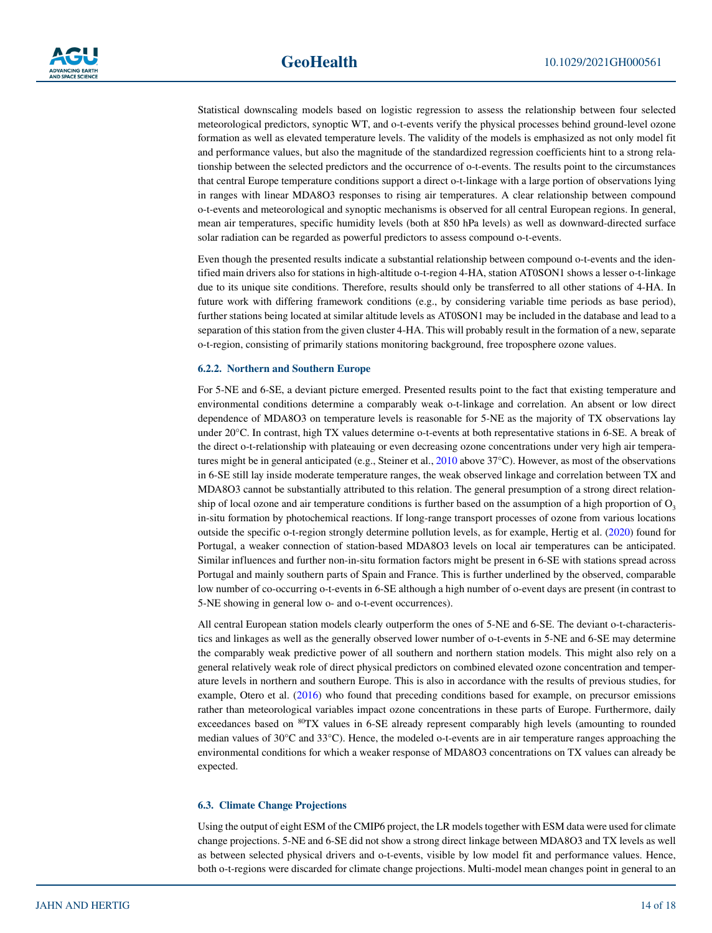Statistical downscaling models based on logistic regression to assess the relationship between four selected meteorological predictors, synoptic WT, and o-t-events verify the physical processes behind ground-level ozone formation as well as elevated temperature levels. The validity of the models is emphasized as not only model fit and performance values, but also the magnitude of the standardized regression coefficients hint to a strong relationship between the selected predictors and the occurrence of o-t-events. The results point to the circumstances that central Europe temperature conditions support a direct o-t-linkage with a large portion of observations lying in ranges with linear MDA8O3 responses to rising air temperatures. A clear relationship between compound o-t-events and meteorological and synoptic mechanisms is observed for all central European regions. In general, mean air temperatures, specific humidity levels (both at 850 hPa levels) as well as downward-directed surface solar radiation can be regarded as powerful predictors to assess compound o-t-events.

Even though the presented results indicate a substantial relationship between compound o-t-events and the identified main drivers also for stations in high-altitude o-t-region 4-HA, station AT0SON1 shows a lesser o-t-linkage due to its unique site conditions. Therefore, results should only be transferred to all other stations of 4-HA. In future work with differing framework conditions (e.g., by considering variable time periods as base period), further stations being located at similar altitude levels as AT0SON1 may be included in the database and lead to a separation of this station from the given cluster 4-HA. This will probably result in the formation of a new, separate o-t-region, consisting of primarily stations monitoring background, free troposphere ozone values.

#### **6.2.2. Northern and Southern Europe**

For 5-NE and 6-SE, a deviant picture emerged. Presented results point to the fact that existing temperature and environmental conditions determine a comparably weak o-t-linkage and correlation. An absent or low direct dependence of MDA8O3 on temperature levels is reasonable for 5-NE as the majority of TX observations lay under 20°C. In contrast, high TX values determine o-t-events at both representative stations in 6-SE. A break of the direct o-t-relationship with plateauing or even decreasing ozone concentrations under very high air tempera-tures might be in general anticipated (e.g., Steiner et al., [2010](#page-17-3) above 37°C). However, as most of the observations in 6-SE still lay inside moderate temperature ranges, the weak observed linkage and correlation between TX and MDA8O3 cannot be substantially attributed to this relation. The general presumption of a strong direct relationship of local ozone and air temperature conditions is further based on the assumption of a high proportion of  $O<sub>3</sub>$ in-situ formation by photochemical reactions. If long-range transport processes of ozone from various locations outside the specific o-t-region strongly determine pollution levels, as for example, Hertig et al. ([2020\)](#page-16-2) found for Portugal, a weaker connection of station-based MDA8O3 levels on local air temperatures can be anticipated. Similar influences and further non-in-situ formation factors might be present in 6-SE with stations spread across Portugal and mainly southern parts of Spain and France. This is further underlined by the observed, comparable low number of co-occurring o-t-events in 6-SE although a high number of o-event days are present (in contrast to 5-NE showing in general low o- and o-t-event occurrences).

All central European station models clearly outperform the ones of 5-NE and 6-SE. The deviant o-t-characteristics and linkages as well as the generally observed lower number of o-t-events in 5-NE and 6-SE may determine the comparably weak predictive power of all southern and northern station models. This might also rely on a general relatively weak role of direct physical predictors on combined elevated ozone concentration and temperature levels in northern and southern Europe. This is also in accordance with the results of previous studies, for example, Otero et al. ([2016\)](#page-16-12) who found that preceding conditions based for example, on precursor emissions rather than meteorological variables impact ozone concentrations in these parts of Europe. Furthermore, daily exceedances based on <sup>80</sup>TX values in 6-SE already represent comparably high levels (amounting to rounded median values of 30°C and 33°C). Hence, the modeled o-t-events are in air temperature ranges approaching the environmental conditions for which a weaker response of MDA8O3 concentrations on TX values can already be expected.

#### **6.3. Climate Change Projections**

Using the output of eight ESM of the CMIP6 project, the LR models together with ESM data were used for climate change projections. 5-NE and 6-SE did not show a strong direct linkage between MDA8O3 and TX levels as well as between selected physical drivers and o-t-events, visible by low model fit and performance values. Hence, both o-t-regions were discarded for climate change projections. Multi-model mean changes point in general to an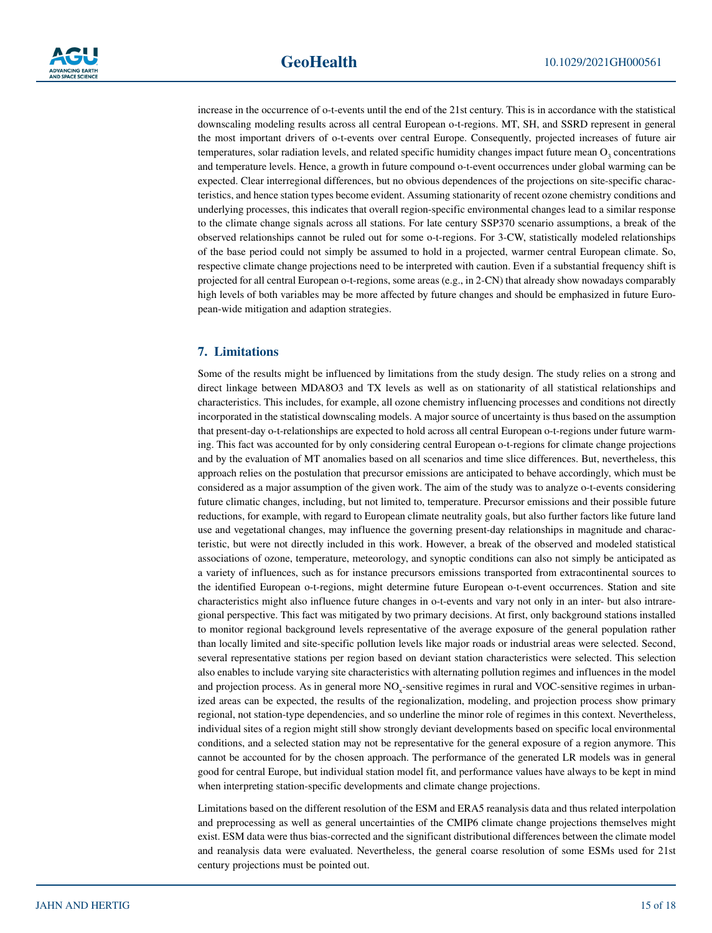increase in the occurrence of o-t-events until the end of the 21st century. This is in accordance with the statistical downscaling modeling results across all central European o-t-regions. MT, SH, and SSRD represent in general the most important drivers of o-t-events over central Europe. Consequently, projected increases of future air temperatures, solar radiation levels, and related specific humidity changes impact future mean  $O_3$  concentrations and temperature levels. Hence, a growth in future compound o-t-event occurrences under global warming can be expected. Clear interregional differences, but no obvious dependences of the projections on site-specific characteristics, and hence station types become evident. Assuming stationarity of recent ozone chemistry conditions and underlying processes, this indicates that overall region-specific environmental changes lead to a similar response to the climate change signals across all stations. For late century SSP370 scenario assumptions, a break of the observed relationships cannot be ruled out for some o-t-regions. For 3-CW, statistically modeled relationships of the base period could not simply be assumed to hold in a projected, warmer central European climate. So, respective climate change projections need to be interpreted with caution. Even if a substantial frequency shift is projected for all central European o-t-regions, some areas (e.g., in 2-CN) that already show nowadays comparably high levels of both variables may be more affected by future changes and should be emphasized in future European-wide mitigation and adaption strategies.

#### <span id="page-14-0"></span>**7. Limitations**

Some of the results might be influenced by limitations from the study design. The study relies on a strong and direct linkage between MDA8O3 and TX levels as well as on stationarity of all statistical relationships and characteristics. This includes, for example, all ozone chemistry influencing processes and conditions not directly incorporated in the statistical downscaling models. A major source of uncertainty is thus based on the assumption that present-day o-t-relationships are expected to hold across all central European o-t-regions under future warming. This fact was accounted for by only considering central European o-t-regions for climate change projections and by the evaluation of MT anomalies based on all scenarios and time slice differences. But, nevertheless, this approach relies on the postulation that precursor emissions are anticipated to behave accordingly, which must be considered as a major assumption of the given work. The aim of the study was to analyze o-t-events considering future climatic changes, including, but not limited to, temperature. Precursor emissions and their possible future reductions, for example, with regard to European climate neutrality goals, but also further factors like future land use and vegetational changes, may influence the governing present-day relationships in magnitude and characteristic, but were not directly included in this work. However, a break of the observed and modeled statistical associations of ozone, temperature, meteorology, and synoptic conditions can also not simply be anticipated as a variety of influences, such as for instance precursors emissions transported from extracontinental sources to the identified European o-t-regions, might determine future European o-t-event occurrences. Station and site characteristics might also influence future changes in o-t-events and vary not only in an inter- but also intraregional perspective. This fact was mitigated by two primary decisions. At first, only background stations installed to monitor regional background levels representative of the average exposure of the general population rather than locally limited and site-specific pollution levels like major roads or industrial areas were selected. Second, several representative stations per region based on deviant station characteristics were selected. This selection also enables to include varying site characteristics with alternating pollution regimes and influences in the model and projection process. As in general more NO<sub>x</sub>-sensitive regimes in rural and VOC-sensitive regimes in urbanized areas can be expected, the results of the regionalization, modeling, and projection process show primary regional, not station-type dependencies, and so underline the minor role of regimes in this context. Nevertheless, individual sites of a region might still show strongly deviant developments based on specific local environmental conditions, and a selected station may not be representative for the general exposure of a region anymore. This cannot be accounted for by the chosen approach. The performance of the generated LR models was in general good for central Europe, but individual station model fit, and performance values have always to be kept in mind when interpreting station-specific developments and climate change projections.

Limitations based on the different resolution of the ESM and ERA5 reanalysis data and thus related interpolation and preprocessing as well as general uncertainties of the CMIP6 climate change projections themselves might exist. ESM data were thus bias-corrected and the significant distributional differences between the climate model and reanalysis data were evaluated. Nevertheless, the general coarse resolution of some ESMs used for 21st century projections must be pointed out.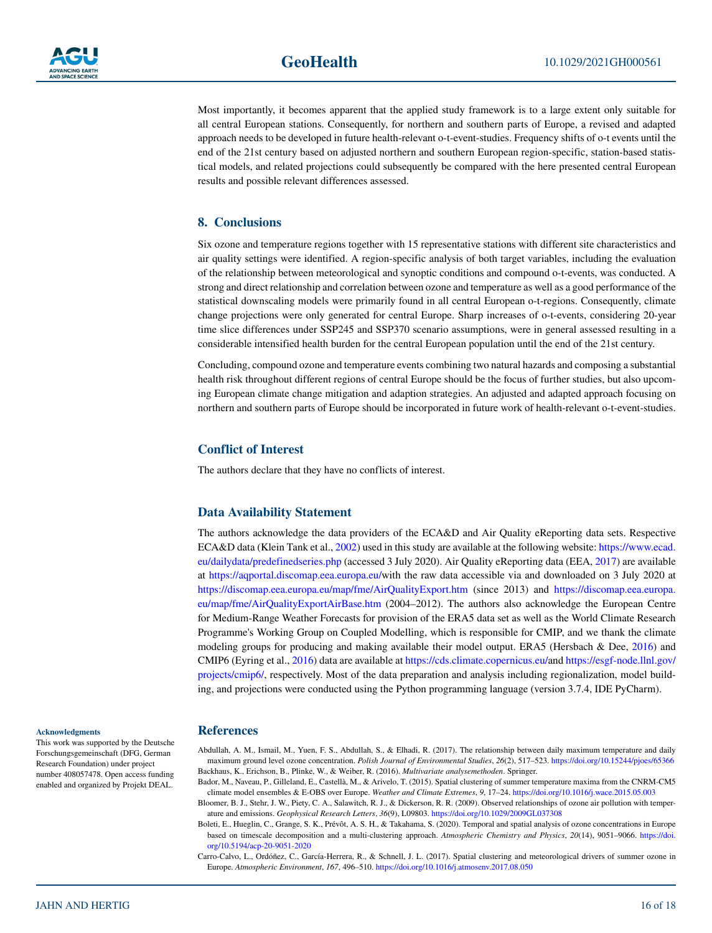

Most importantly, it becomes apparent that the applied study framework is to a large extent only suitable for all central European stations. Consequently, for northern and southern parts of Europe, a revised and adapted approach needs to be developed in future health-relevant o-t-event-studies. Frequency shifts of o-t events until the end of the 21st century based on adjusted northern and southern European region-specific, station-based statistical models, and related projections could subsequently be compared with the here presented central European results and possible relevant differences assessed.

#### <span id="page-15-5"></span>**8. Conclusions**

Six ozone and temperature regions together with 15 representative stations with different site characteristics and air quality settings were identified. A region-specific analysis of both target variables, including the evaluation of the relationship between meteorological and synoptic conditions and compound o-t-events, was conducted. A strong and direct relationship and correlation between ozone and temperature as well as a good performance of the statistical downscaling models were primarily found in all central European o-t-regions. Consequently, climate change projections were only generated for central Europe. Sharp increases of o-t-events, considering 20-year time slice differences under SSP245 and SSP370 scenario assumptions, were in general assessed resulting in a considerable intensified health burden for the central European population until the end of the 21st century.

Concluding, compound ozone and temperature events combining two natural hazards and composing a substantial health risk throughout different regions of central Europe should be the focus of further studies, but also upcoming European climate change mitigation and adaption strategies. An adjusted and adapted approach focusing on northern and southern parts of Europe should be incorporated in future work of health-relevant o-t-event-studies.

#### **Conflict of Interest**

The authors declare that they have no conflicts of interest.

#### **Data Availability Statement**

The authors acknowledge the data providers of the ECA&D and Air Quality eReporting data sets. Respective ECA&D data (Klein Tank et al., [2002](#page-16-21)) used in this study are available at the following website: [https://www.ecad.](https://www.ecad.eu/dailydata/predefinedseries.php) [eu/dailydata/predefinedseries.php](https://www.ecad.eu/dailydata/predefinedseries.php) (accessed 3 July 2020). Air Quality eReporting data (EEA, [2017](#page-16-22)) are available at <https://aqportal.discomap.eea.europa.eu/>with the raw data accessible via and downloaded on 3 July 2020 at <https://discomap.eea.europa.eu/map/fme/AirQualityExport.htm> (since 2013) and [https://discomap.eea.europa.](https://discomap.eea.europa.eu/map/fme/AirQualityExportAirBase.htm) [eu/map/fme/AirQualityExportAirBase.htm](https://discomap.eea.europa.eu/map/fme/AirQualityExportAirBase.htm) (2004–2012). The authors also acknowledge the European Centre for Medium-Range Weather Forecasts for provision of the ERA5 data set as well as the World Climate Research Programme's Working Group on Coupled Modelling, which is responsible for CMIP, and we thank the climate modeling groups for producing and making available their model output. ERA5 (Hersbach & Dee, [2016](#page-16-25)) and CMIP6 (Eyring et al., [2016\)](#page-16-26) data are available at [https://cds.climate.copernicus.eu/a](https://cds.climate.copernicus.eu/)nd [https://esgf-node.llnl.gov/](https://esgf-node.llnl.gov/projects/cmip6/) [projects/cmip6/,](https://esgf-node.llnl.gov/projects/cmip6/) respectively. Most of the data preparation and analysis including regionalization, model building, and projections were conducted using the Python programming language (version 3.7.4, IDE PyCharm).

This work was supported by the Deutsche Forschungsgemeinschaft (DFG, German Research Foundation) under project number 408057478. Open access funding enabled and organized by Projekt DEAL.

**Acknowledgments**

#### **References**

<span id="page-15-0"></span>Abdullah, A. M., Ismail, M., Yuen, F. S., Abdullah, S., & Elhadi, R. (2017). The relationship between daily maximum temperature and daily maximum ground level ozone concentration. *Polish Journal of Environmental Studies*, *26*(2), 517–523.<https://doi.org/10.15244/pjoes/65366> Backhaus, K., Erichson, B., Plinke, W., & Weiber, R. (2016). *Multivariate analysemethoden*. Springer.

<span id="page-15-6"></span><span id="page-15-4"></span>Bador, M., Naveau, P., Gilleland, E., Castellà, M., & Arivelo, T. (2015). Spatial clustering of summer temperature maxima from the CNRM-CM5 climate model ensembles & E-OBS over Europe. *Weather and Climate Extremes*, *9*, 17–24. <https://doi.org/10.1016/j.wace.2015.05.003>

<span id="page-15-1"></span>Bloomer, B. J., Stehr, J. W., Piety, C. A., Salawitch, R. J., & Dickerson, R. R. (2009). Observed relationships of ozone air pollution with temperature and emissions. *Geophysical Research Letters*, *36*(9), L09803.<https://doi.org/10.1029/2009GL037308>

<span id="page-15-2"></span>Boleti, E., Hueglin, C., Grange, S. K., Prévôt, A. S. H., & Takahama, S. (2020). Temporal and spatial analysis of ozone concentrations in Europe based on timescale decomposition and a multi-clustering approach. *Atmospheric Chemistry and Physics*, *20*(14), 9051–9066. [https://doi.](https://doi.org/10.5194/acp-20-9051-2020) [org/10.5194/acp-20-9051-2020](https://doi.org/10.5194/acp-20-9051-2020)

<span id="page-15-3"></span>Carro-Calvo, L., Ordóñez, C., García-Herrera, R., & Schnell, J. L. (2017). Spatial clustering and meteorological drivers of summer ozone in Europe. *Atmospheric Environment*, *167*, 496–510.<https://doi.org/10.1016/j.atmosenv.2017.08.050>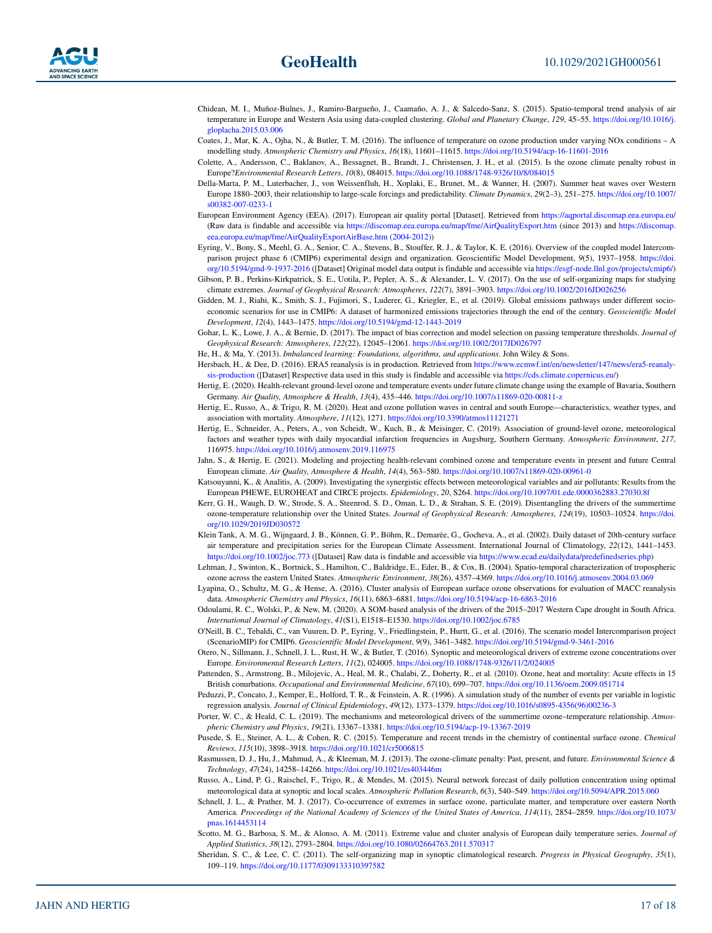- <span id="page-16-15"></span>Chidean, M. I., Muñoz-Bulnes, J., Ramiro-Bargueño, J., Caamaño, A. J., & Salcedo-Sanz, S. (2015). Spatio-temporal trend analysis of air temperature in Europe and Western Asia using data-coupled clustering. *Global and Planetary Change*, *129*, 45–55. [https://doi.org/10.1016/j.](https://doi.org/10.1016/j.gloplacha.2015.03.006) [gloplacha.2015.03.006](https://doi.org/10.1016/j.gloplacha.2015.03.006)
- <span id="page-16-7"></span>Coates, J., Mar, K. A., Ojha, N., & Butler, T. M. (2016). The influence of temperature on ozone production under varying NOx conditions – A modelling study. *Atmospheric Chemistry and Physics*, *16*(18), 11601–11615.<https://doi.org/10.5194/acp-16-11601-2016>
- <span id="page-16-8"></span>Colette, A., Andersson, C., Baklanov, A., Bessagnet, B., Brandt, J., Christensen, J. H., et al. (2015). Is the ozone climate penalty robust in Europe?*Environmental Research Letters*, *10*(8), 084015.<https://doi.org/10.1088/1748-9326/10/8/084015>
- <span id="page-16-23"></span>Della-Marta, P. M., Luterbacher, J., von Weissenfluh, H., Xoplaki, E., Brunet, M., & Wanner, H. (2007). Summer heat waves over Western Europe 1880–2003, their relationship to large-scale forcings and predictability. *Climate Dynamics*, *29*(2–3), 251–275. [https://doi.org/10.1007/](https://doi.org/10.1007/s00382-007-0233-1) [s00382-007-0233-1](https://doi.org/10.1007/s00382-007-0233-1)
- <span id="page-16-22"></span>European Environment Agency (EEA). (2017). European air quality portal [Dataset]. Retrieved from <https://aqportal.discomap.eea.europa.eu/> (Raw data is findable and accessible via <https://discomap.eea.europa.eu/map/fme/AirQualityExport.htm> (since 2013) and [https://discomap.](https://discomap.eea.europa.eu/map/fme/AirQualityExportAirBase.htm%20(2004-2012)) [eea.europa.eu/map/fme/AirQualityExportAirBase.htm \(2004-2012\)](https://discomap.eea.europa.eu/map/fme/AirQualityExportAirBase.htm%20(2004-2012)))
- <span id="page-16-26"></span>Eyring, V., Bony, S., Meehl, G. A., Senior, C. A., Stevens, B., Stouffer, R. J., & Taylor, K. E. (2016). Overview of the coupled model Intercomparison project phase 6 (CMIP6) experimental design and organization. Geoscientific Model Development, *9*(5), 1937–1958. [https://doi.](https://doi.org/10.5194/gmd-9-1937-2016) [org/10.5194/gmd-9-1937-2016](https://doi.org/10.5194/gmd-9-1937-2016) ([Dataset] Original model data output is findable and accessible via<https://esgf-node.llnl.gov/projects/cmip6/>)
- <span id="page-16-18"></span>Gibson, P. B., Perkins-Kirkpatrick, S. E., Uotila, P., Pepler, A. S., & Alexander, L. V. (2017). On the use of self-organizing maps for studying climate extremes. *Journal of Geophysical Research: Atmospheres*, *122*(7), 3891–3903. <https://doi.org/10.1002/2016JD026256>
- <span id="page-16-27"></span>Gidden, M. J., Riahi, K., Smith, S. J., Fujimori, S., Luderer, G., Kriegler, E., et al. (2019). Global emissions pathways under different socioeconomic scenarios for use in CMIP6: A dataset of harmonized emissions trajectories through the end of the century. *Geoscientific Model Development*, *12*(4), 1443–1475. <https://doi.org/10.5194/gmd-12-1443-2019>
- <span id="page-16-29"></span>Gohar, L. K., Lowe, J. A., & Bernie, D. (2017). The impact of bias correction and model selection on passing temperature thresholds. *Journal of Geophysical Research: Atmospheres*, *122*(22), 12045–12061.<https://doi.org/10.1002/2017JD026797>
- <span id="page-16-31"></span>He, H., & Ma, Y. (2013). *Imbalanced learning: Foundations, algorithms, and applications*. John Wiley & Sons.
- <span id="page-16-25"></span>Hersbach, H., & Dee, D. (2016). ERA5 reanalysis is in production. Retrieved from [https://www.ecmwf.int/en/newsletter/147/news/era5-reanaly](https://www.ecmwf.int/en/newsletter/147/news/era5-reanalysis-production)[sis-production](https://www.ecmwf.int/en/newsletter/147/news/era5-reanalysis-production) ([Dataset] Respective data used in this study is findable and accessible via [https://cds.climate.copernicus.eu/\)](https://cds.climate.copernicus.eu/)
- <span id="page-16-0"></span>Hertig, E. (2020). Health-relevant ground-level ozone and temperature events under future climate change using the example of Bavaria, Southern Germany. *Air Quality, Atmosphere & Health*, *13*(4), 435–446.<https://doi.org/10.1007/s11869-020-00811-z>
- <span id="page-16-2"></span>Hertig, E., Russo, A., & Trigo, R. M. (2020). Heat and ozone pollution waves in central and south Europe—characteristics, weather types, and association with mortality. *Atmosphere*, *11*(12), 1271.<https://doi.org/10.3390/atmos11121271>
- <span id="page-16-24"></span>Hertig, E., Schneider, A., Peters, A., von Scheidt, W., Kuch, B., & Meisinger, C. (2019). Association of ground-level ozone, meteorological factors and weather types with daily myocardial infarction frequencies in Augsburg, Southern Germany. *Atmospheric Environment*, *217*, 116975.<https://doi.org/10.1016/j.atmosenv.2019.116975>
- <span id="page-16-10"></span>Jahn, S., & Hertig, E. (2021). Modeling and projecting health-relevant combined ozone and temperature events in present and future Central European climate. *Air Quality, Atmosphere & Health*, *14*(4), 563–580.<https://doi.org/10.1007/s11869-020-00961-0>
- <span id="page-16-3"></span>Katsouyanni, K., & Analitis, A. (2009). Investigating the synergistic effects between meteorological variables and air pollutants: Results from the European PHEWE, EUROHEAT and CIRCE projects. *Epidemiology*, *20*, S264.<https://doi.org/10.1097/01.ede.0000362883.27030.8f>
- <span id="page-16-11"></span>Kerr, G. H., Waugh, D. W., Strode, S. A., Steenrod, S. D., Oman, L. D., & Strahan, S. E. (2019). Disentangling the drivers of the summertime ozone-temperature relationship over the United States. *Journal of Geophysical Research: Atmospheres*, *124*(19), 10503–10524. [https://doi.](https://doi.org/10.1029/2019JD030572) [org/10.1029/2019JD030572](https://doi.org/10.1029/2019JD030572)
- <span id="page-16-21"></span>Klein Tank, A. M. G., Wijngaard, J. B., Können, G. P., Böhm, R., Demarée, G., Gocheva, A., et al. (2002). Daily dataset of 20th-century surface air temperature and precipitation series for the European Climate Assessment. International Journal of Climatology, *22*(12), 1441–1453. <https://doi.org/10.1002/joc.773>([Dataset] Raw data is findable and accessible via <https://www.ecad.eu/dailydata/predefinedseries.php>)
- <span id="page-16-13"></span>Lehman, J., Swinton, K., Bortnick, S., Hamilton, C., Baldridge, E., Eder, B., & Cox, B. (2004). Spatio-temporal characterization of tropospheric ozone across the eastern United States. *Atmospheric Environment*, *38*(26), 4357–4369.<https://doi.org/10.1016/j.atmosenv.2004.03.069>
- <span id="page-16-14"></span>Lyapina, O., Schultz, M. G., & Hense, A. (2016). Cluster analysis of European surface ozone observations for evaluation of MACC reanalysis data. *Atmospheric Chemistry and Physics*, *16*(11), 6863–6881.<https://doi.org/10.5194/acp-16-6863-2016>
- <span id="page-16-19"></span>Odoulami, R. C., Wolski, P., & New, M. (2020). A SOM-based analysis of the drivers of the 2015–2017 Western Cape drought in South Africa. *International Journal of Climatology*, *41*(S1), E1518–E1530. <https://doi.org/10.1002/joc.6785>
- <span id="page-16-28"></span>O'Neill, B. C., Tebaldi, C., van Vuuren, D. P., Eyring, V., Friedlingstein, P., Hurtt, G., et al. (2016). The scenario model Intercomparison project (ScenarioMIP) for CMIP6. *Geoscientific Model Development*, *9*(9), 3461–3482.<https://doi.org/10.5194/gmd-9-3461-2016>
- <span id="page-16-12"></span>Otero, N., Sillmann, J., Schnell, J. L., Rust, H. W., & Butler, T. (2016). Synoptic and meteorological drivers of extreme ozone concentrations over Europe. *Environmental Research Letters*, *11*(2), 024005. <https://doi.org/10.1088/1748-9326/11/2/024005>
- <span id="page-16-4"></span>Pattenden, S., Armstrong, B., Milojevic, A., Heal, M. R., Chalabi, Z., Doherty, R., et al. (2010). Ozone, heat and mortality: Acute effects in 15 British conurbations. *Occupational and Environmental Medicine*, *67*(10), 699–707. <https://doi.org/10.1136/oem.2009.051714>
- <span id="page-16-30"></span>Peduzzi, P., Concato, J., Kemper, E., Holford, T. R., & Feinstein, A. R. (1996). A simulation study of the number of events per variable in logistic regression analysis. *Journal of Clinical Epidemiology*, *49*(12), 1373–1379. [https://doi.org/10.1016/s0895-4356\(96\)00236-3](https://doi.org/10.1016/s0895-4356(96)00236-3)
- <span id="page-16-6"></span>Porter, W. C., & Heald, C. L. (2019). The mechanisms and meteorological drivers of the summertime ozone–temperature relationship. *Atmospheric Chemistry and Physics*, *19*(21), 13367–13381. <https://doi.org/10.5194/acp-19-13367-2019>
- <span id="page-16-5"></span>Pusede, S. E., Steiner, A. L., & Cohen, R. C. (2015). Temperature and recent trends in the chemistry of continental surface ozone. *Chemical Reviews*, *115*(10), 3898–3918. <https://doi.org/10.1021/cr5006815>
- <span id="page-16-9"></span>Rasmussen, D. J., Hu, J., Mahmud, A., & Kleeman, M. J. (2013). The ozone-climate penalty: Past, present, and future. *Environmental Science & Technology*, *47*(24), 14258–14266. <https://doi.org/10.1021/es403446m>
- <span id="page-16-17"></span>Russo, A., Lind, P. G., Raischel, F., Trigo, R., & Mendes, M. (2015). Neural network forecast of daily pollution concentration using optimal meteorological data at synoptic and local scales. *Atmospheric Pollution Research*, *6*(3), 540–549. <https://doi.org/10.5094/APR.2015.060>
- <span id="page-16-1"></span>Schnell, J. L., & Prather, M. J. (2017). Co-occurrence of extremes in surface ozone, particulate matter, and temperature over eastern North America. *Proceedings of the National Academy of Sciences of the United States of America*, *114*(11), 2854–2859. [https://doi.org/10.1073/](https://doi.org/10.1073/pnas.1614453114) [pnas.1614453114](https://doi.org/10.1073/pnas.1614453114)
- <span id="page-16-16"></span>Scotto, M. G., Barbosa, S. M., & Alonso, A. M. (2011). Extreme value and cluster analysis of European daily temperature series. *Journal of Applied Statistics*, *38*(12), 2793–2804.<https://doi.org/10.1080/02664763.2011.570317>
- <span id="page-16-20"></span>Sheridan, S. C., & Lee, C. C. (2011). The self-organizing map in synoptic climatological research. *Progress in Physical Geography*, *35*(1), 109–119. <https://doi.org/10.1177/0309133310397582>